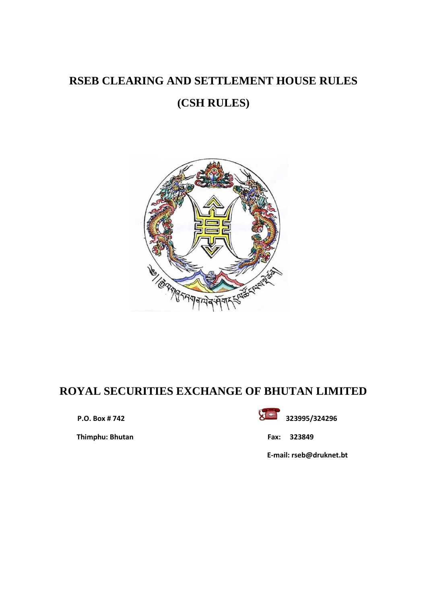# **RSEB CLEARING AND SETTLEMENT HOUSE RULES**

# **(CSH RULES)**



# **ROYAL SECURITIES EXCHANGE OF BHUTAN LIMITED**

 **Thimphu: Bhutan Fax: 323849**



 **E-mail: rseb@druknet.bt**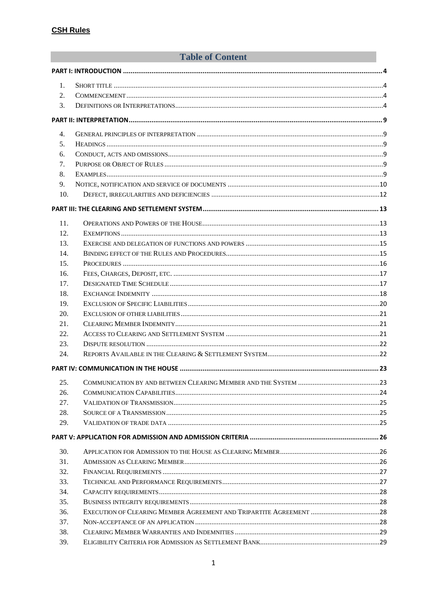# **Table of Content**

| 1.  |  |  |
|-----|--|--|
| 2.  |  |  |
| 3.  |  |  |
|     |  |  |
| 4.  |  |  |
| 5.  |  |  |
| 6.  |  |  |
| 7.  |  |  |
| 8.  |  |  |
| 9.  |  |  |
| 10. |  |  |
|     |  |  |
| 11. |  |  |
| 12. |  |  |
| 13. |  |  |
| 14. |  |  |
| 15. |  |  |
| 16. |  |  |
| 17. |  |  |
| 18. |  |  |
| 19. |  |  |
| 20. |  |  |
| 21. |  |  |
| 22. |  |  |
| 23. |  |  |
| 24. |  |  |
|     |  |  |
| 25. |  |  |
| 26. |  |  |
| 27. |  |  |
| 28. |  |  |
| 29. |  |  |
|     |  |  |
| 30. |  |  |
| 31. |  |  |
| 32. |  |  |
| 33. |  |  |
| 34. |  |  |
| 35. |  |  |
| 36. |  |  |
| 37. |  |  |
| 38. |  |  |
| 39. |  |  |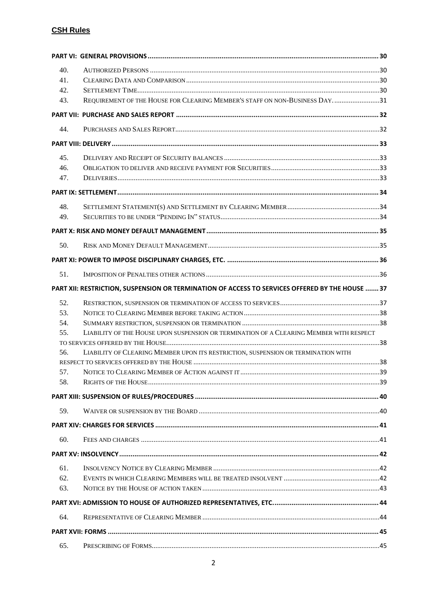| 40. |                                                                                                 |    |
|-----|-------------------------------------------------------------------------------------------------|----|
| 41. |                                                                                                 |    |
| 42. |                                                                                                 |    |
| 43. | REQUIREMENT OF THE HOUSE FOR CLEARING MEMBER'S STAFF ON NON-BUSINESS DAY31                      |    |
|     |                                                                                                 |    |
| 44. |                                                                                                 |    |
|     |                                                                                                 |    |
| 45. |                                                                                                 |    |
| 46. |                                                                                                 |    |
| 47. |                                                                                                 |    |
|     |                                                                                                 |    |
| 48. |                                                                                                 |    |
| 49. |                                                                                                 |    |
|     |                                                                                                 |    |
| 50. |                                                                                                 |    |
|     |                                                                                                 |    |
| 51. |                                                                                                 |    |
|     |                                                                                                 |    |
|     | PART XII: RESTRICTION, SUSPENSION OR TERMINATION OF ACCESS TO SERVICES OFFERED BY THE HOUSE  37 |    |
| 52. |                                                                                                 |    |
| 53. |                                                                                                 |    |
| 54. | LIABILITY OF THE HOUSE UPON SUSPENSION OR TERMINATION OF A CLEARING MEMBER WITH RESPECT         |    |
| 55. |                                                                                                 |    |
| 56. | LIABILITY OF CLEARING MEMBER UPON ITS RESTRICTION, SUSPENSION OR TERMINATION WITH               |    |
|     |                                                                                                 |    |
| 57. |                                                                                                 | 39 |
| 58. |                                                                                                 |    |
|     |                                                                                                 |    |
| 59. |                                                                                                 |    |
|     |                                                                                                 |    |
| 60. |                                                                                                 |    |
|     |                                                                                                 |    |
| 61. |                                                                                                 |    |
| 62. |                                                                                                 |    |
| 63. |                                                                                                 |    |
|     |                                                                                                 |    |
|     |                                                                                                 |    |
| 64. |                                                                                                 |    |
|     |                                                                                                 |    |
| 65. |                                                                                                 |    |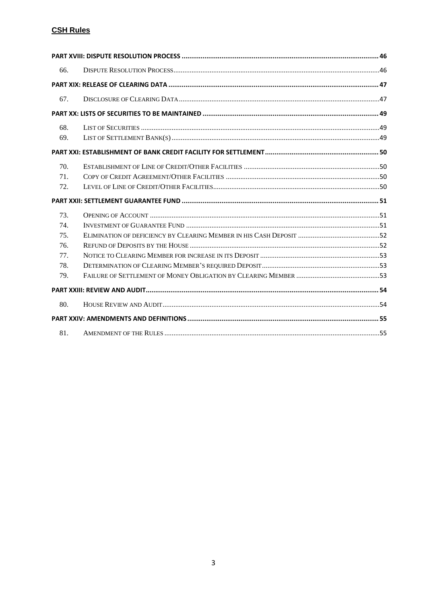| 66. |  |
|-----|--|
|     |  |
| 67. |  |
|     |  |
| 68. |  |
| 69. |  |
|     |  |
| 70. |  |
| 71. |  |
| 72. |  |
|     |  |
| 73. |  |
| 74. |  |
| 75. |  |
| 76. |  |
| 77. |  |
| 78. |  |
| 79. |  |
|     |  |
| 80. |  |
|     |  |
| 81. |  |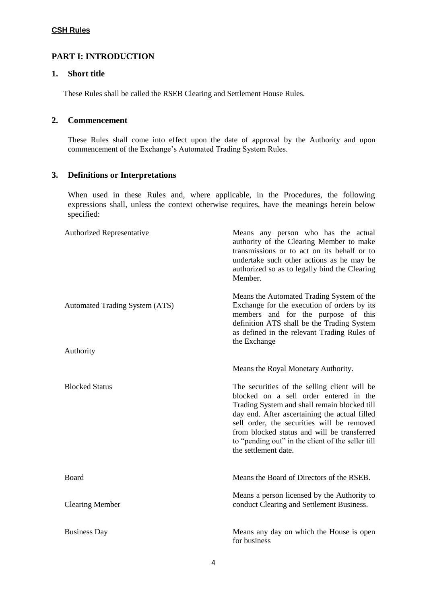# <span id="page-4-0"></span>**PART I: INTRODUCTION**

# <span id="page-4-1"></span>**1. Short title**

These Rules shall be called the RSEB Clearing and Settlement House Rules.

# <span id="page-4-2"></span>**2. Commencement**

These Rules shall come into effect upon the date of approval by the Authority and upon commencement of the Exchange's Automated Trading System Rules.

# <span id="page-4-3"></span>**3. Definitions or Interpretations**

When used in these Rules and, where applicable, in the Procedures, the following expressions shall, unless the context otherwise requires, have the meanings herein below specified:

| Authorized Representative             | Means any person who has the actual<br>authority of the Clearing Member to make<br>transmissions or to act on its behalf or to<br>undertake such other actions as he may be<br>authorized so as to legally bind the Clearing<br>Member.                                                                                                                           |
|---------------------------------------|-------------------------------------------------------------------------------------------------------------------------------------------------------------------------------------------------------------------------------------------------------------------------------------------------------------------------------------------------------------------|
| <b>Automated Trading System (ATS)</b> | Means the Automated Trading System of the<br>Exchange for the execution of orders by its<br>members and for the purpose of this<br>definition ATS shall be the Trading System<br>as defined in the relevant Trading Rules of<br>the Exchange                                                                                                                      |
| Authority                             |                                                                                                                                                                                                                                                                                                                                                                   |
|                                       | Means the Royal Monetary Authority.                                                                                                                                                                                                                                                                                                                               |
| <b>Blocked Status</b>                 | The securities of the selling client will be<br>blocked on a sell order entered in the<br>Trading System and shall remain blocked till<br>day end. After ascertaining the actual filled<br>sell order, the securities will be removed<br>from blocked status and will be transferred<br>to "pending out" in the client of the seller till<br>the settlement date. |
| Board                                 | Means the Board of Directors of the RSEB.                                                                                                                                                                                                                                                                                                                         |
| <b>Clearing Member</b>                | Means a person licensed by the Authority to<br>conduct Clearing and Settlement Business.                                                                                                                                                                                                                                                                          |
| <b>Business Day</b>                   | Means any day on which the House is open<br>for business                                                                                                                                                                                                                                                                                                          |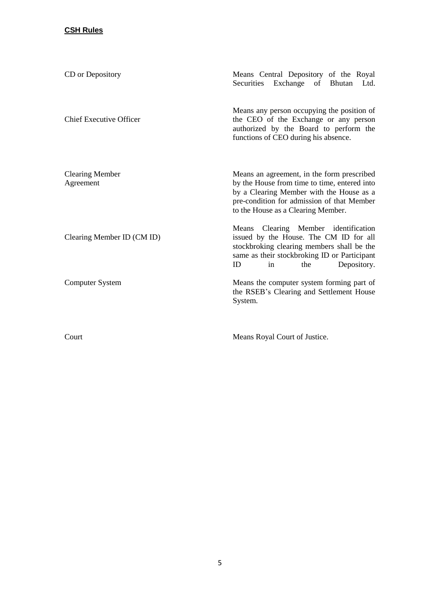| CD or Depository                    | Means Central Depository of the Royal<br>Exchange of Bhutan<br>Securities<br>Ltd.                                                                                                                                          |
|-------------------------------------|----------------------------------------------------------------------------------------------------------------------------------------------------------------------------------------------------------------------------|
| <b>Chief Executive Officer</b>      | Means any person occupying the position of<br>the CEO of the Exchange or any person<br>authorized by the Board to perform the<br>functions of CEO during his absence.                                                      |
| <b>Clearing Member</b><br>Agreement | Means an agreement, in the form prescribed<br>by the House from time to time, entered into<br>by a Clearing Member with the House as a<br>pre-condition for admission of that Member<br>to the House as a Clearing Member. |
| Clearing Member ID (CM ID)          | Means Clearing Member identification<br>issued by the House. The CM ID for all<br>stockbroking clearing members shall be the<br>same as their stockbroking ID or Participant<br>Depository.<br>ID<br>the<br>in             |
| <b>Computer System</b>              | Means the computer system forming part of<br>the RSEB's Clearing and Settlement House<br>System.                                                                                                                           |
| Court                               | Means Royal Court of Justice.                                                                                                                                                                                              |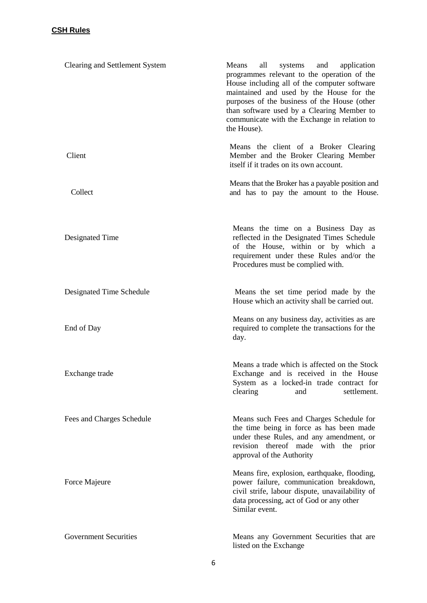| Clearing and Settlement System | Means<br>all<br>systems<br>and<br>application<br>programmes relevant to the operation of the<br>House including all of the computer software<br>maintained and used by the House for the<br>purposes of the business of the House (other<br>than software used by a Clearing Member to<br>communicate with the Exchange in relation to<br>the House). |
|--------------------------------|-------------------------------------------------------------------------------------------------------------------------------------------------------------------------------------------------------------------------------------------------------------------------------------------------------------------------------------------------------|
| Client                         | Means the client of a Broker Clearing<br>Member and the Broker Clearing Member<br>itself if it trades on its own account.                                                                                                                                                                                                                             |
| Collect                        | Means that the Broker has a payable position and<br>and has to pay the amount to the House.                                                                                                                                                                                                                                                           |
| Designated Time                | Means the time on a Business Day as<br>reflected in the Designated Times Schedule<br>of the House, within or by which a<br>requirement under these Rules and/or the<br>Procedures must be complied with.                                                                                                                                              |
| Designated Time Schedule       | Means the set time period made by the<br>House which an activity shall be carried out.                                                                                                                                                                                                                                                                |
| End of Day                     | Means on any business day, activities as are<br>required to complete the transactions for the<br>day.                                                                                                                                                                                                                                                 |
| Exchange trade                 | Means a trade which is affected on the Stock<br>Exchange and is received in the House<br>System as a locked-in trade contract for<br>clearing<br>settlement.<br>and                                                                                                                                                                                   |
| Fees and Charges Schedule      | Means such Fees and Charges Schedule for<br>the time being in force as has been made<br>under these Rules, and any amendment, or<br>revision thereof made with the prior<br>approval of the Authority                                                                                                                                                 |
| Force Majeure                  | Means fire, explosion, earthquake, flooding,<br>power failure, communication breakdown,<br>civil strife, labour dispute, unavailability of<br>data processing, act of God or any other<br>Similar event.                                                                                                                                              |
| <b>Government Securities</b>   | Means any Government Securities that are<br>listed on the Exchange                                                                                                                                                                                                                                                                                    |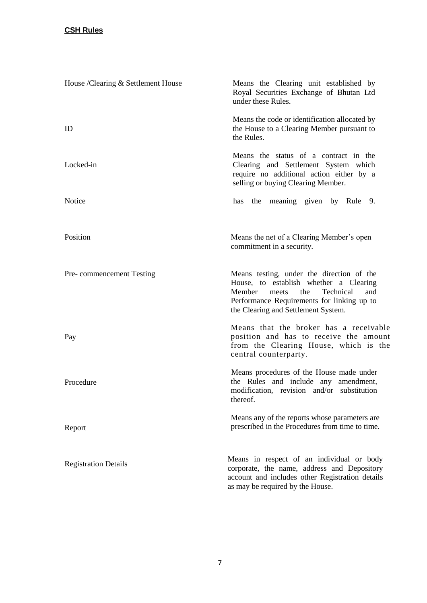| House /Clearing & Settlement House | Means the Clearing unit established by<br>Royal Securities Exchange of Bhutan Ltd<br>under these Rules.                                                                                                                |
|------------------------------------|------------------------------------------------------------------------------------------------------------------------------------------------------------------------------------------------------------------------|
| ID                                 | Means the code or identification allocated by<br>the House to a Clearing Member pursuant to<br>the Rules.                                                                                                              |
| Locked-in                          | Means the status of a contract in the<br>Clearing and Settlement System which<br>require no additional action either by a<br>selling or buying Clearing Member.                                                        |
| Notice                             | has the meaning given by Rule 9.                                                                                                                                                                                       |
| Position                           | Means the net of a Clearing Member's open<br>commitment in a security.                                                                                                                                                 |
| Pre-commencement Testing           | Means testing, under the direction of the<br>House, to establish whether a Clearing<br>Technical<br>Member<br>the<br>and<br>meets<br>Performance Requirements for linking up to<br>the Clearing and Settlement System. |
| Pay                                | Means that the broker has a receivable<br>position and has to receive the amount<br>from the Clearing House, which is the<br>central counterparty.                                                                     |
| Procedure                          | Means procedures of the House made under<br>the Rules and include any amendment,<br>modification, revision and/or substitution<br>thereof.                                                                             |
| Report                             | Means any of the reports whose parameters are<br>prescribed in the Procedures from time to time.                                                                                                                       |
| <b>Registration Details</b>        | Means in respect of an individual or body<br>corporate, the name, address and Depository<br>account and includes other Registration details<br>as may be required by the House.                                        |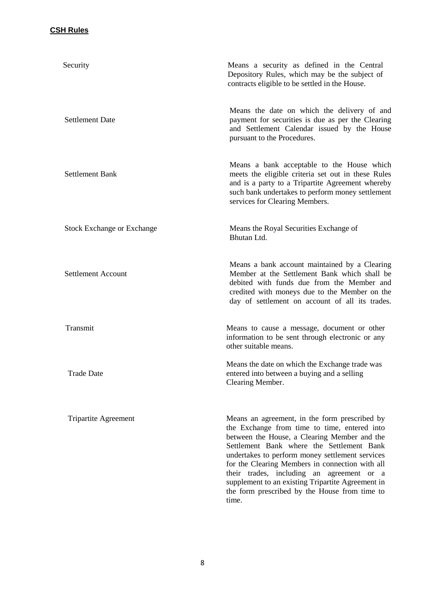| Security                          | Means a security as defined in the Central<br>Depository Rules, which may be the subject of<br>contracts eligible to be settled in the House.                                                                                                                                                                                                                                                                                                                |
|-----------------------------------|--------------------------------------------------------------------------------------------------------------------------------------------------------------------------------------------------------------------------------------------------------------------------------------------------------------------------------------------------------------------------------------------------------------------------------------------------------------|
| <b>Settlement Date</b>            | Means the date on which the delivery of and<br>payment for securities is due as per the Clearing<br>and Settlement Calendar issued by the House<br>pursuant to the Procedures.                                                                                                                                                                                                                                                                               |
| <b>Settlement Bank</b>            | Means a bank acceptable to the House which<br>meets the eligible criteria set out in these Rules<br>and is a party to a Tripartite Agreement whereby<br>such bank undertakes to perform money settlement<br>services for Clearing Members.                                                                                                                                                                                                                   |
| <b>Stock Exchange or Exchange</b> | Means the Royal Securities Exchange of<br>Bhutan Ltd.                                                                                                                                                                                                                                                                                                                                                                                                        |
| <b>Settlement Account</b>         | Means a bank account maintained by a Clearing<br>Member at the Settlement Bank which shall be<br>debited with funds due from the Member and<br>credited with moneys due to the Member on the<br>day of settlement on account of all its trades.                                                                                                                                                                                                              |
| Transmit                          | Means to cause a message, document or other<br>information to be sent through electronic or any<br>other suitable means.                                                                                                                                                                                                                                                                                                                                     |
| <b>Trade Date</b>                 | Means the date on which the Exchange trade was<br>entered into between a buying and a selling<br>Clearing Member.                                                                                                                                                                                                                                                                                                                                            |
| <b>Tripartite Agreement</b>       | Means an agreement, in the form prescribed by<br>the Exchange from time to time, entered into<br>between the House, a Clearing Member and the<br>Settlement Bank where the Settlement Bank<br>undertakes to perform money settlement services<br>for the Clearing Members in connection with all<br>their trades, including an agreement or a<br>supplement to an existing Tripartite Agreement in<br>the form prescribed by the House from time to<br>time. |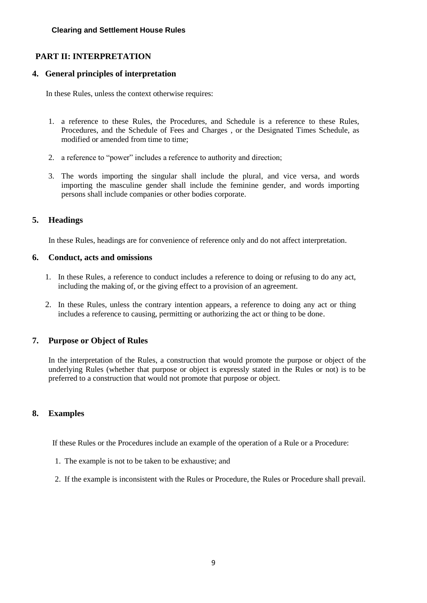# <span id="page-9-0"></span>**PART II: INTERPRETATION**

### <span id="page-9-1"></span>**4. General principles of interpretation**

In these Rules, unless the context otherwise requires:

- 1. a reference to these Rules, the Procedures, and Schedule is a reference to these Rules, Procedures, and the Schedule of Fees and Charges , or the Designated Times Schedule, as modified or amended from time to time;
- 2. a reference to "power" includes a reference to authority and direction;
- 3. The words importing the singular shall include the plural, and vice versa, and words importing the masculine gender shall include the feminine gender, and words importing persons shall include companies or other bodies corporate.

# <span id="page-9-2"></span>**5. Headings**

In these Rules, headings are for convenience of reference only and do not affect interpretation.

### <span id="page-9-3"></span>**6. Conduct, acts and omissions**

- 1. In these Rules, a reference to conduct includes a reference to doing or refusing to do any act, including the making of, or the giving effect to a provision of an agreement.
- 2. In these Rules, unless the contrary intention appears, a reference to doing any act or thing includes a reference to causing, permitting or authorizing the act or thing to be done.

# <span id="page-9-4"></span>**7. Purpose or Object of Rules**

In the interpretation of the Rules, a construction that would promote the purpose or object of the underlying Rules (whether that purpose or object is expressly stated in the Rules or not) is to be preferred to a construction that would not promote that purpose or object.

# <span id="page-9-5"></span>**8. Examples**

If these Rules or the Procedures include an example of the operation of a Rule or a Procedure:

- 1. The example is not to be taken to be exhaustive; and
- 2. If the example is inconsistent with the Rules or Procedure, the Rules or Procedure shall prevail.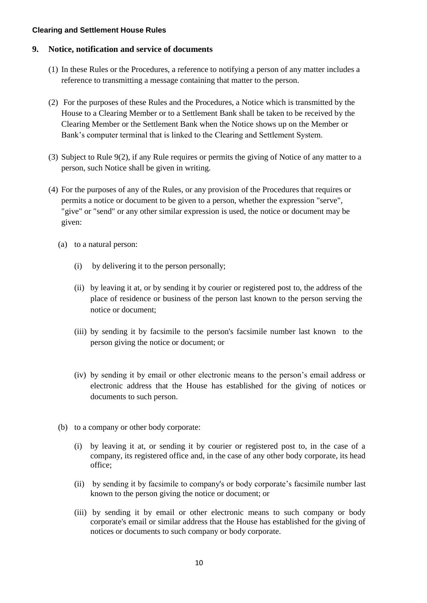### <span id="page-10-0"></span>**9. Notice, notification and service of documents**

- (1) In these Rules or the Procedures, a reference to notifying a person of any matter includes a reference to transmitting a message containing that matter to the person.
- (2) For the purposes of these Rules and the Procedures, a Notice which is transmitted by the House to a Clearing Member or to a Settlement Bank shall be taken to be received by the Clearing Member or the Settlement Bank when the Notice shows up on the Member or Bank's computer terminal that is linked to the Clearing and Settlement System.
- (3) Subject to Rule 9(2), if any Rule requires or permits the giving of Notice of any matter to a person, such Notice shall be given in writing.
- (4) For the purposes of any of the Rules, or any provision of the Procedures that requires or permits a notice or document to be given to a person, whether the expression "serve", "give" or "send" or any other similar expression is used, the notice or document may be given:
	- (a) to a natural person:
		- (i) by delivering it to the person personally;
		- (ii) by leaving it at, or by sending it by courier or registered post to, the address of the place of residence or business of the person last known to the person serving the notice or document;
		- (iii) by sending it by facsimile to the person's facsimile number last known to the person giving the notice or document; or
		- (iv) by sending it by email or other electronic means to the person's email address or electronic address that the House has established for the giving of notices or documents to such person.
	- (b) to a company or other body corporate:
		- (i) by leaving it at, or sending it by courier or registered post to, in the case of a company, its registered office and, in the case of any other body corporate, its head office;
		- (ii) by sending it by facsimile to company's or body corporate's facsimile number last known to the person giving the notice or document; or
		- (iii) by sending it by email or other electronic means to such company or body corporate's email or similar address that the House has established for the giving of notices or documents to such company or body corporate.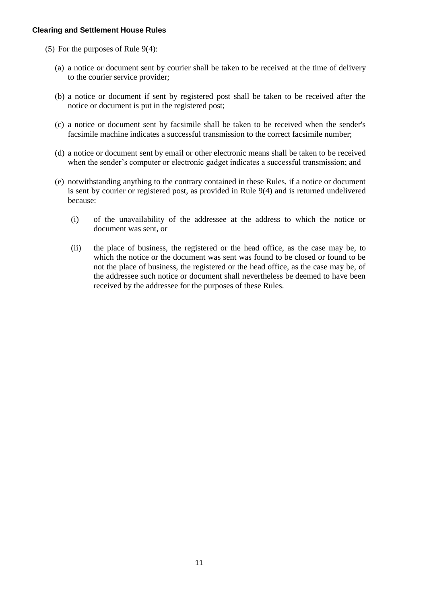- (5) For the purposes of Rule 9(4):
	- (a) a notice or document sent by courier shall be taken to be received at the time of delivery to the courier service provider;
	- (b) a notice or document if sent by registered post shall be taken to be received after the notice or document is put in the registered post;
	- (c) a notice or document sent by facsimile shall be taken to be received when the sender's facsimile machine indicates a successful transmission to the correct facsimile number;
	- (d) a notice or document sent by email or other electronic means shall be taken to be received when the sender's computer or electronic gadget indicates a successful transmission; and
	- (e) notwithstanding anything to the contrary contained in these Rules, if a notice or document is sent by courier or registered post, as provided in Rule 9(4) and is returned undelivered because:
		- (i) of the unavailability of the addressee at the address to which the notice or document was sent, or
		- (ii) the place of business, the registered or the head office, as the case may be, to which the notice or the document was sent was found to be closed or found to be not the place of business, the registered or the head office, as the case may be, of the addressee such notice or document shall nevertheless be deemed to have been received by the addressee for the purposes of these Rules.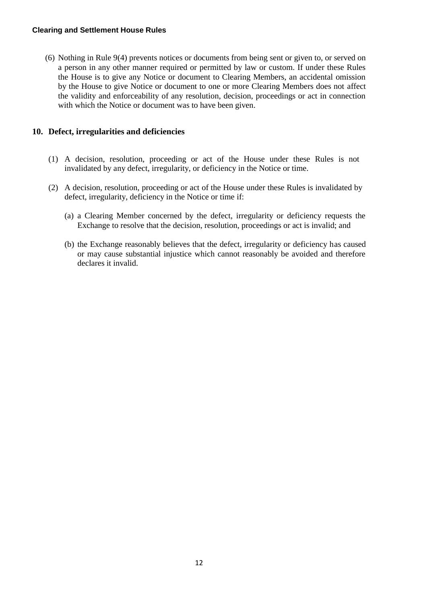(6) Nothing in Rule 9(4) prevents notices or documents from being sent or given to, or served on a person in any other manner required or permitted by law or custom. If under these Rules the House is to give any Notice or document to Clearing Members, an accidental omission by the House to give Notice or document to one or more Clearing Members does not affect the validity and enforceability of any resolution, decision, proceedings or act in connection with which the Notice or document was to have been given.

# <span id="page-12-0"></span>**10. Defect, irregularities and deficiencies**

- (1) A decision, resolution, proceeding or act of the House under these Rules is not invalidated by any defect, irregularity, or deficiency in the Notice or time.
- (2) A decision, resolution, proceeding or act of the House under these Rules is invalidated by defect, irregularity, deficiency in the Notice or time if:
	- (a) a Clearing Member concerned by the defect, irregularity or deficiency requests the Exchange to resolve that the decision, resolution, proceedings or act is invalid; and
	- (b) the Exchange reasonably believes that the defect, irregularity or deficiency has caused or may cause substantial injustice which cannot reasonably be avoided and therefore declares it invalid.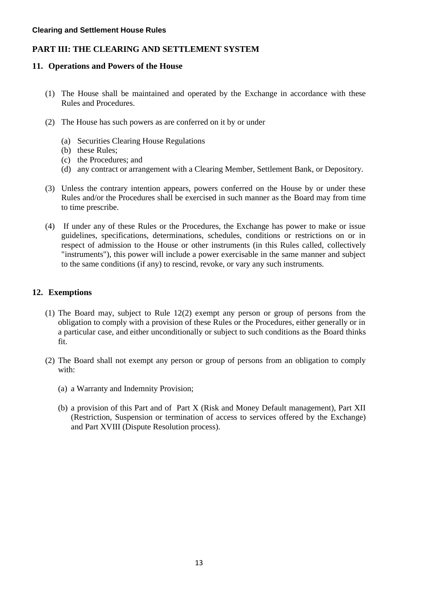# <span id="page-13-0"></span>**PART III: THE CLEARING AND SETTLEMENT SYSTEM**

### <span id="page-13-1"></span>**11. Operations and Powers of the House**

- (1) The House shall be maintained and operated by the Exchange in accordance with these Rules and Procedures.
- (2) The House has such powers as are conferred on it by or under
	- (a) Securities Clearing House Regulations
	- (b) these Rules;
	- (c) the Procedures; and
	- (d) any contract or arrangement with a Clearing Member, Settlement Bank, or Depository.
- (3) Unless the contrary intention appears, powers conferred on the House by or under these Rules and/or the Procedures shall be exercised in such manner as the Board may from time to time prescribe.
- (4) If under any of these Rules or the Procedures, the Exchange has power to make or issue guidelines, specifications, determinations, schedules, conditions or restrictions on or in respect of admission to the House or other instruments (in this Rules called, collectively "instruments"), this power will include a power exercisable in the same manner and subject to the same conditions (if any) to rescind, revoke, or vary any such instruments.

# <span id="page-13-2"></span>**12. Exemptions**

- (1) The Board may, subject to Rule 12(2) exempt any person or group of persons from the obligation to comply with a provision of these Rules or the Procedures, either generally or in a particular case, and either unconditionally or subject to such conditions as the Board thinks fit.
- (2) The Board shall not exempt any person or group of persons from an obligation to comply with:
	- (a) a Warranty and Indemnity Provision;
	- (b) a provision of this Part and of Part X (Risk and Money Default management), Part XII (Restriction, Suspension or termination of access to services offered by the Exchange) and Part XVIII (Dispute Resolution process).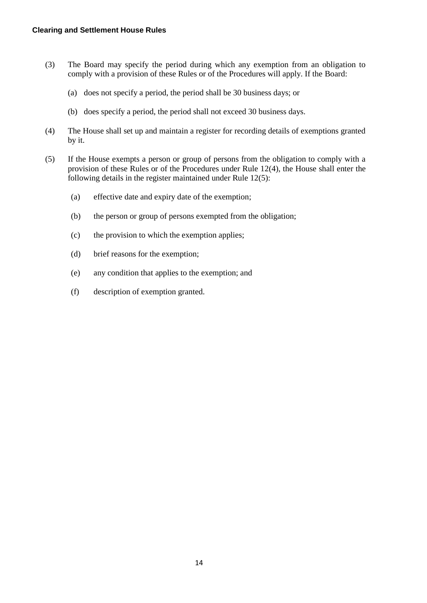- (3) The Board may specify the period during which any exemption from an obligation to comply with a provision of these Rules or of the Procedures will apply. If the Board:
	- (a) does not specify a period, the period shall be 30 business days; or
	- (b) does specify a period, the period shall not exceed 30 business days.
- (4) The House shall set up and maintain a register for recording details of exemptions granted by it.
- (5) If the House exempts a person or group of persons from the obligation to comply with a provision of these Rules or of the Procedures under Rule 12(4), the House shall enter the following details in the register maintained under Rule 12(5):
	- (a) effective date and expiry date of the exemption;
	- (b) the person or group of persons exempted from the obligation;
	- (c) the provision to which the exemption applies;
	- (d) brief reasons for the exemption;
	- (e) any condition that applies to the exemption; and
	- (f) description of exemption granted.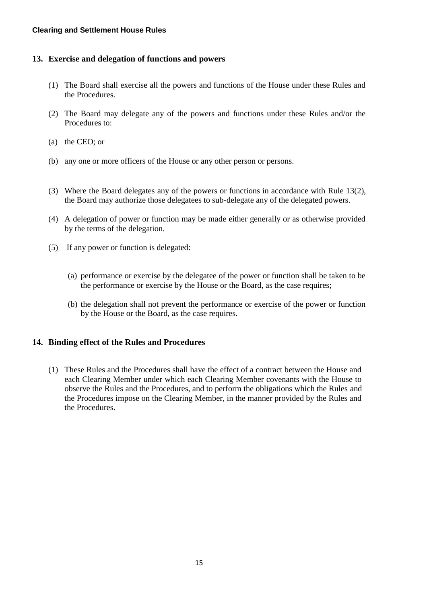# <span id="page-15-0"></span>**13. Exercise and delegation of functions and powers**

- (1) The Board shall exercise all the powers and functions of the House under these Rules and the Procedures.
- (2) The Board may delegate any of the powers and functions under these Rules and/or the Procedures to:
- (a) the CEO; or
- (b) any one or more officers of the House or any other person or persons.
- (3) Where the Board delegates any of the powers or functions in accordance with Rule 13(2), the Board may authorize those delegatees to sub-delegate any of the delegated powers.
- (4) A delegation of power or function may be made either generally or as otherwise provided by the terms of the delegation.
- (5) If any power or function is delegated:
	- (a) performance or exercise by the delegatee of the power or function shall be taken to be the performance or exercise by the House or the Board, as the case requires;
	- (b) the delegation shall not prevent the performance or exercise of the power or function by the House or the Board, as the case requires.

# <span id="page-15-1"></span>**14. Binding effect of the Rules and Procedures**

(1) These Rules and the Procedures shall have the effect of a contract between the House and each Clearing Member under which each Clearing Member covenants with the House to observe the Rules and the Procedures, and to perform the obligations which the Rules and the Procedures impose on the Clearing Member, in the manner provided by the Rules and the Procedures.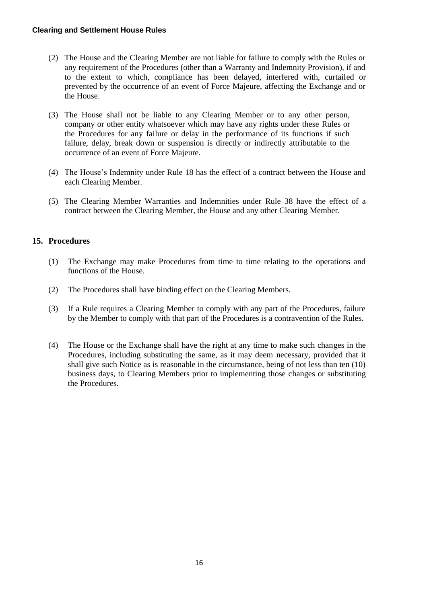- (2) The House and the Clearing Member are not liable for failure to comply with the Rules or any requirement of the Procedures (other than a Warranty and Indemnity Provision), if and to the extent to which, compliance has been delayed, interfered with, curtailed or prevented by the occurrence of an event of Force Majeure, affecting the Exchange and or the House.
- (3) The House shall not be liable to any Clearing Member or to any other person, company or other entity whatsoever which may have any rights under these Rules or the Procedures for any failure or delay in the performance of its functions if such failure, delay, break down or suspension is directly or indirectly attributable to the occurrence of an event of Force Majeure.
- (4) The House's Indemnity under Rule 18 has the effect of a contract between the House and each Clearing Member.
- (5) The Clearing Member Warranties and Indemnities under Rule 38 have the effect of a contract between the Clearing Member, the House and any other Clearing Member.

# <span id="page-16-0"></span>**15. Procedures**

- (1) The Exchange may make Procedures from time to time relating to the operations and functions of the House.
- (2) The Procedures shall have binding effect on the Clearing Members.
- (3) If a Rule requires a Clearing Member to comply with any part of the Procedures, failure by the Member to comply with that part of the Procedures is a contravention of the Rules.
- (4) The House or the Exchange shall have the right at any time to make such changes in the Procedures, including substituting the same, as it may deem necessary, provided that it shall give such Notice as is reasonable in the circumstance, being of not less than ten (10) business days, to Clearing Members prior to implementing those changes or substituting the Procedures.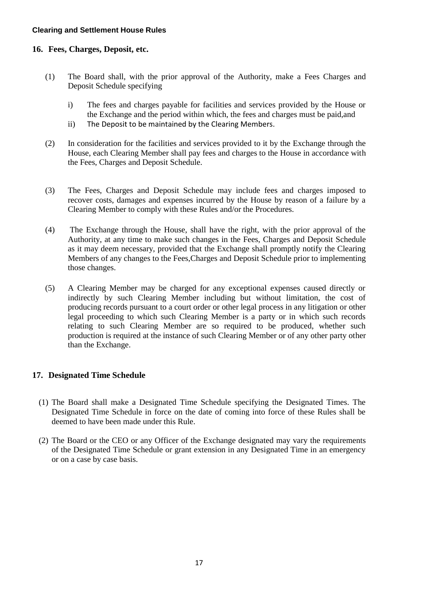# <span id="page-17-0"></span>**16. Fees, Charges, Deposit, etc.**

- (1) The Board shall, with the prior approval of the Authority, make a Fees Charges and Deposit Schedule specifying
	- i) The fees and charges payable for facilities and services provided by the House or the Exchange and the period within which, the fees and charges must be paid,and
	- ii) The Deposit to be maintained by the Clearing Members.
- (2) In consideration for the facilities and services provided to it by the Exchange through the House, each Clearing Member shall pay fees and charges to the House in accordance with the Fees, Charges and Deposit Schedule.
- (3) The Fees, Charges and Deposit Schedule may include fees and charges imposed to recover costs, damages and expenses incurred by the House by reason of a failure by a Clearing Member to comply with these Rules and/or the Procedures.
- (4) The Exchange through the House, shall have the right, with the prior approval of the Authority, at any time to make such changes in the Fees, Charges and Deposit Schedule as it may deem necessary, provided that the Exchange shall promptly notify the Clearing Members of any changes to the Fees,Charges and Deposit Schedule prior to implementing those changes.
- (5) A Clearing Member may be charged for any exceptional expenses caused directly or indirectly by such Clearing Member including but without limitation, the cost of producing records pursuant to a court order or other legal process in any litigation or other legal proceeding to which such Clearing Member is a party or in which such records relating to such Clearing Member are so required to be produced, whether such production is required at the instance of such Clearing Member or of any other party other than the Exchange.

# <span id="page-17-1"></span>**17. Designated Time Schedule**

- (1) The Board shall make a Designated Time Schedule specifying the Designated Times. The Designated Time Schedule in force on the date of coming into force of these Rules shall be deemed to have been made under this Rule.
- (2) The Board or the CEO or any Officer of the Exchange designated may vary the requirements of the Designated Time Schedule or grant extension in any Designated Time in an emergency or on a case by case basis.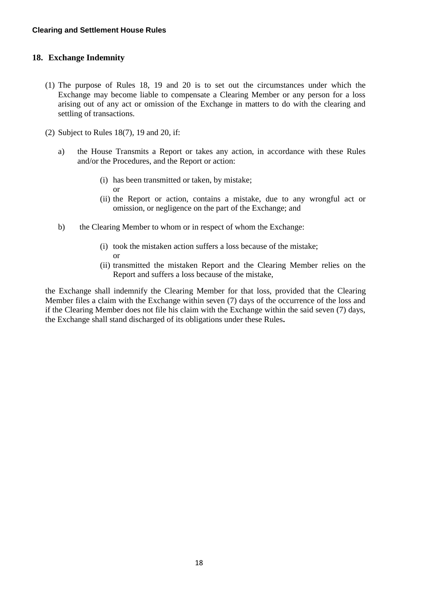### <span id="page-18-0"></span>**18. Exchange Indemnity**

- (1) The purpose of Rules 18, 19 and 20 is to set out the circumstances under which the Exchange may become liable to compensate a Clearing Member or any person for a loss arising out of any act or omission of the Exchange in matters to do with the clearing and settling of transactions.
- (2) Subject to Rules 18(7), 19 and 20, if:
	- a) the House Transmits a Report or takes any action, in accordance with these Rules and/or the Procedures, and the Report or action:
		- (i) has been transmitted or taken, by mistake; or
		- (ii) the Report or action, contains a mistake, due to any wrongful act or omission, or negligence on the part of the Exchange; and
	- b) the Clearing Member to whom or in respect of whom the Exchange:
		- (i) took the mistaken action suffers a loss because of the mistake; or
		- (ii) transmitted the mistaken Report and the Clearing Member relies on the Report and suffers a loss because of the mistake,

the Exchange shall indemnify the Clearing Member for that loss, provided that the Clearing Member files a claim with the Exchange within seven (7) days of the occurrence of the loss and if the Clearing Member does not file his claim with the Exchange within the said seven (7) days, the Exchange shall stand discharged of its obligations under these Rules**.**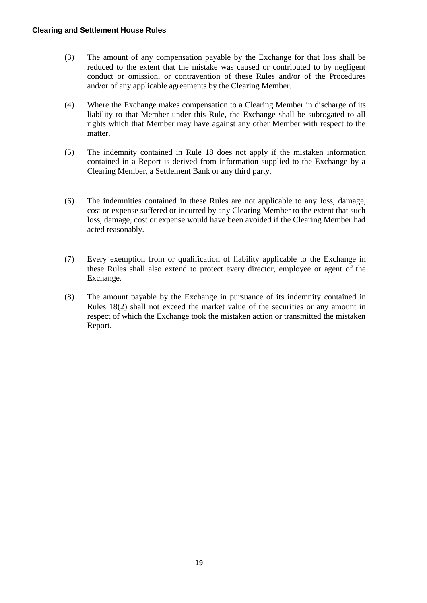- (3) The amount of any compensation payable by the Exchange for that loss shall be reduced to the extent that the mistake was caused or contributed to by negligent conduct or omission, or contravention of these Rules and/or of the Procedures and/or of any applicable agreements by the Clearing Member.
- (4) Where the Exchange makes compensation to a Clearing Member in discharge of its liability to that Member under this Rule, the Exchange shall be subrogated to all rights which that Member may have against any other Member with respect to the matter.
- (5) The indemnity contained in Rule 18 does not apply if the mistaken information contained in a Report is derived from information supplied to the Exchange by a Clearing Member, a Settlement Bank or any third party.
- (6) The indemnities contained in these Rules are not applicable to any loss, damage, cost or expense suffered or incurred by any Clearing Member to the extent that such loss, damage, cost or expense would have been avoided if the Clearing Member had acted reasonably.
- (7) Every exemption from or qualification of liability applicable to the Exchange in these Rules shall also extend to protect every director, employee or agent of the Exchange.
- (8) The amount payable by the Exchange in pursuance of its indemnity contained in Rules 18(2) shall not exceed the market value of the securities or any amount in respect of which the Exchange took the mistaken action or transmitted the mistaken Report.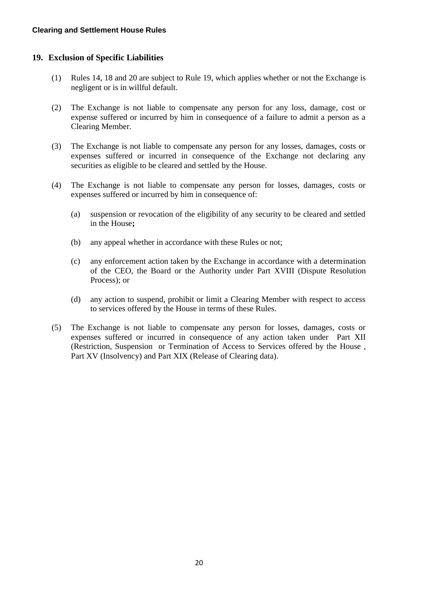# <span id="page-20-0"></span>**19. Exclusion of Specific Liabilities**

- (1) Rules 14, 18 and 20 are subject to Rule 19, which applies whether or not the Exchange is negligent or is in willful default.
- (2) The Exchange is not liable to compensate any person for any loss, damage, cost or expense suffered or incurred by him in consequence of a failure to admit a person as a Clearing Member.
- (3) The Exchange is not liable to compensate any person for any losses, damages, costs or expenses suffered or incurred in consequence of the Exchange not declaring any securities as eligible to be cleared and settled by the House.
- (4) The Exchange is not liable to compensate any person for losses, damages, costs or expenses suffered or incurred by him in consequence of:
	- (a) suspension or revocation of the eligibility of any security to be cleared and settled in the House**;**
	- (b) any appeal whether in accordance with these Rules or not;
	- (c) any enforcement action taken by the Exchange in accordance with a determination of the CEO, the Board or the Authority under Part XVIII (Dispute Resolution Process); or
	- (d) any action to suspend, prohibit or limit a Clearing Member with respect to access to services offered by the House in terms of these Rules.
- (5) The Exchange is not liable to compensate any person for losses, damages, costs or expenses suffered or incurred in consequence of any action taken under Part XII (Restriction, Suspension or Termination of Access to Services offered by the House , Part XV (Insolvency) and Part XIX (Release of Clearing data).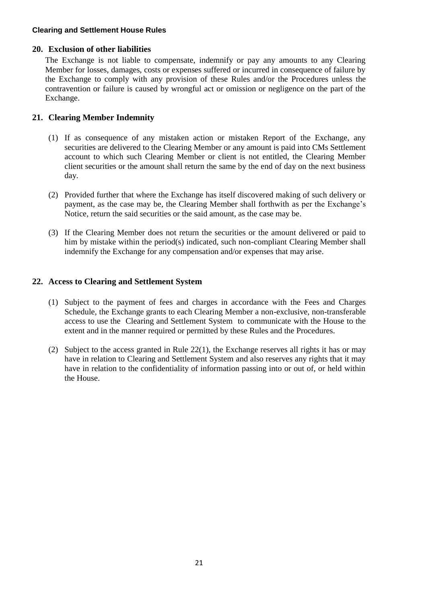# <span id="page-21-0"></span>**20. Exclusion of other liabilities**

The Exchange is not liable to compensate, indemnify or pay any amounts to any Clearing Member for losses, damages, costs or expenses suffered or incurred in consequence of failure by the Exchange to comply with any provision of these Rules and/or the Procedures unless the contravention or failure is caused by wrongful act or omission or negligence on the part of the Exchange.

### <span id="page-21-1"></span>**21. Clearing Member Indemnity**

- (1) If as consequence of any mistaken action or mistaken Report of the Exchange, any securities are delivered to the Clearing Member or any amount is paid into CMs Settlement account to which such Clearing Member or client is not entitled, the Clearing Member client securities or the amount shall return the same by the end of day on the next business day.
- (2) Provided further that where the Exchange has itself discovered making of such delivery or payment, as the case may be, the Clearing Member shall forthwith as per the Exchange's Notice, return the said securities or the said amount, as the case may be.
- (3) If the Clearing Member does not return the securities or the amount delivered or paid to him by mistake within the period(s) indicated, such non-compliant Clearing Member shall indemnify the Exchange for any compensation and/or expenses that may arise.

### <span id="page-21-2"></span>**22. Access to Clearing and Settlement System**

- (1) Subject to the payment of fees and charges in accordance with the Fees and Charges Schedule, the Exchange grants to each Clearing Member a non-exclusive, non-transferable access to use the Clearing and Settlement System to communicate with the House to the extent and in the manner required or permitted by these Rules and the Procedures.
- (2) Subject to the access granted in Rule 22(1), the Exchange reserves all rights it has or may have in relation to Clearing and Settlement System and also reserves any rights that it may have in relation to the confidentiality of information passing into or out of, or held within the House.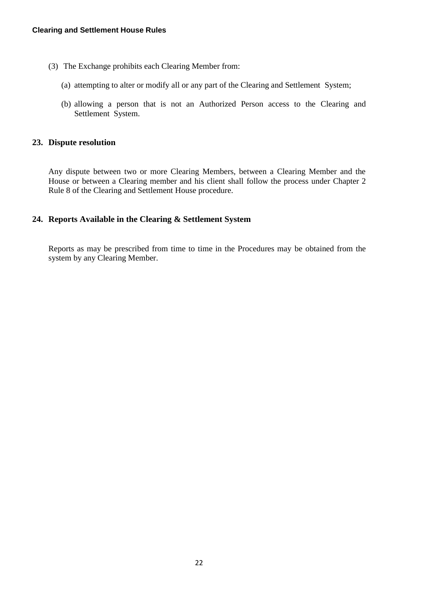- (3) The Exchange prohibits each Clearing Member from:
	- (a) attempting to alter or modify all or any part of the Clearing and Settlement System;
	- (b) allowing a person that is not an Authorized Person access to the Clearing and Settlement System.

### <span id="page-22-0"></span>**23. Dispute resolution**

Any dispute between two or more Clearing Members, between a Clearing Member and the House or between a Clearing member and his client shall follow the process under Chapter 2 Rule 8 of the Clearing and Settlement House procedure.

# <span id="page-22-1"></span>**24. Reports Available in the Clearing & Settlement System**

Reports as may be prescribed from time to time in the Procedures may be obtained from the system by any Clearing Member.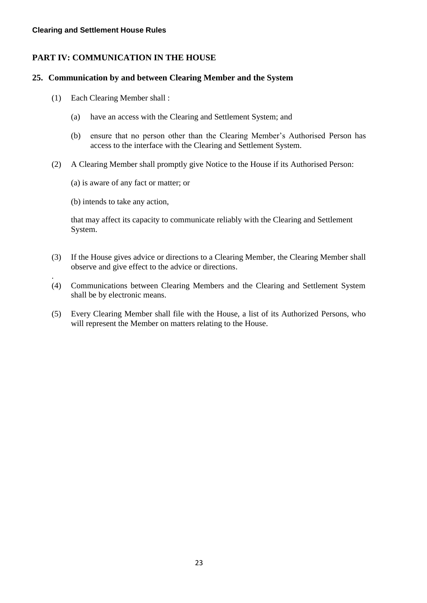# <span id="page-23-0"></span>**PART IV: COMMUNICATION IN THE HOUSE**

### <span id="page-23-1"></span>**25. Communication by and between Clearing Member and the System**

- (1) Each Clearing Member shall :
	- (a) have an access with the Clearing and Settlement System; and
	- (b) ensure that no person other than the Clearing Member's Authorised Person has access to the interface with the Clearing and Settlement System.
- (2) A Clearing Member shall promptly give Notice to the House if its Authorised Person:
	- (a) is aware of any fact or matter; or
	- (b) intends to take any action,

.

that may affect its capacity to communicate reliably with the Clearing and Settlement System.

- (3) If the House gives advice or directions to a Clearing Member, the Clearing Member shall observe and give effect to the advice or directions.
- (4) Communications between Clearing Members and the Clearing and Settlement System shall be by electronic means.
- (5) Every Clearing Member shall file with the House, a list of its Authorized Persons, who will represent the Member on matters relating to the House.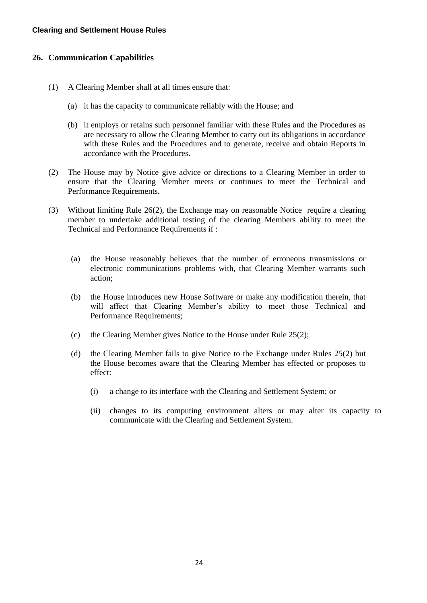### <span id="page-24-0"></span>**26. Communication Capabilities**

- (1) A Clearing Member shall at all times ensure that:
	- (a) it has the capacity to communicate reliably with the House; and
	- (b) it employs or retains such personnel familiar with these Rules and the Procedures as are necessary to allow the Clearing Member to carry out its obligations in accordance with these Rules and the Procedures and to generate, receive and obtain Reports in accordance with the Procedures.
- (2) The House may by Notice give advice or directions to a Clearing Member in order to ensure that the Clearing Member meets or continues to meet the Technical and Performance Requirements.
- (3) Without limiting Rule 26(2), the Exchange may on reasonable Notice require a clearing member to undertake additional testing of the clearing Members ability to meet the Technical and Performance Requirements if :
	- (a) the House reasonably believes that the number of erroneous transmissions or electronic communications problems with, that Clearing Member warrants such action;
	- (b) the House introduces new House Software or make any modification therein, that will affect that Clearing Member's ability to meet those Technical and Performance Requirements;
	- (c) the Clearing Member gives Notice to the House under Rule 25(2);
	- (d) the Clearing Member fails to give Notice to the Exchange under Rules 25(2) but the House becomes aware that the Clearing Member has effected or proposes to effect:
		- (i) a change to its interface with the Clearing and Settlement System; or
		- (ii) changes to its computing environment alters or may alter its capacity to communicate with the Clearing and Settlement System.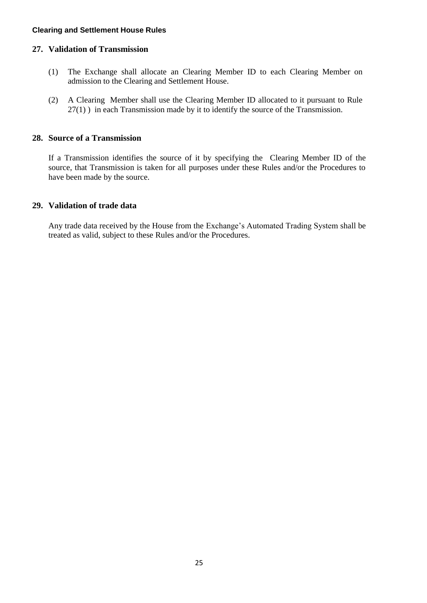### <span id="page-25-0"></span>**27. Validation of Transmission**

- (1) The Exchange shall allocate an Clearing Member ID to each Clearing Member on admission to the Clearing and Settlement House.
- (2) A Clearing Member shall use the Clearing Member ID allocated to it pursuant to Rule 27(1) ) in each Transmission made by it to identify the source of the Transmission.

# <span id="page-25-1"></span>**28. Source of a Transmission**

If a Transmission identifies the source of it by specifying the Clearing Member ID of the source, that Transmission is taken for all purposes under these Rules and/or the Procedures to have been made by the source.

# <span id="page-25-2"></span>**29. Validation of trade data**

Any trade data received by the House from the Exchange's Automated Trading System shall be treated as valid, subject to these Rules and/or the Procedures.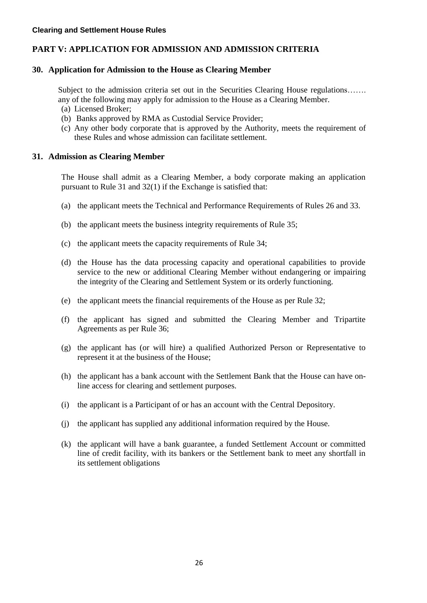# <span id="page-26-0"></span>**PART V: APPLICATION FOR ADMISSION AND ADMISSION CRITERIA**

### <span id="page-26-1"></span>**30. Application for Admission to the House as Clearing Member**

Subject to the admission criteria set out in the Securities Clearing House regulations……. any of the following may apply for admission to the House as a Clearing Member.

- (a) Licensed Broker;
- (b) Banks approved by RMA as Custodial Service Provider;
- (c) Any other body corporate that is approved by the Authority, meets the requirement of these Rules and whose admission can facilitate settlement.

### <span id="page-26-2"></span>**31. Admission as Clearing Member**

The House shall admit as a Clearing Member, a body corporate making an application pursuant to Rule 31 and 32(1) if the Exchange is satisfied that:

- (a) the applicant meets the Technical and Performance Requirements of Rules 26 and 33.
- (b) the applicant meets the business integrity requirements of Rule 35;
- (c) the applicant meets the capacity requirements of Rule 34;
- (d) the House has the data processing capacity and operational capabilities to provide service to the new or additional Clearing Member without endangering or impairing the integrity of the Clearing and Settlement System or its orderly functioning.
- (e) the applicant meets the financial requirements of the House as per Rule 32;
- (f) the applicant has signed and submitted the Clearing Member and Tripartite Agreements as per Rule 36;
- (g) the applicant has (or will hire) a qualified Authorized Person or Representative to represent it at the business of the House;
- (h) the applicant has a bank account with the Settlement Bank that the House can have online access for clearing and settlement purposes.
- (i) the applicant is a Participant of or has an account with the Central Depository.
- (j) the applicant has supplied any additional information required by the House.
- (k) the applicant will have a bank guarantee, a funded Settlement Account or committed line of credit facility, with its bankers or the Settlement bank to meet any shortfall in its settlement obligations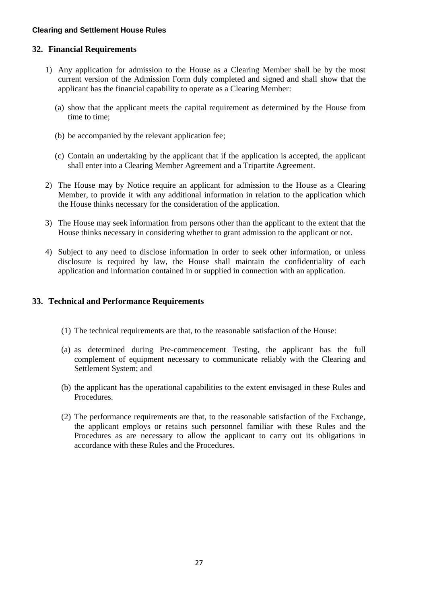### <span id="page-27-0"></span>**32. Financial Requirements**

- 1) Any application for admission to the House as a Clearing Member shall be by the most current version of the Admission Form duly completed and signed and shall show that the applicant has the financial capability to operate as a Clearing Member:
	- (a) show that the applicant meets the capital requirement as determined by the House from time to time;
	- (b) be accompanied by the relevant application fee;
	- (c) Contain an undertaking by the applicant that if the application is accepted, the applicant shall enter into a Clearing Member Agreement and a Tripartite Agreement.
- 2) The House may by Notice require an applicant for admission to the House as a Clearing Member, to provide it with any additional information in relation to the application which the House thinks necessary for the consideration of the application.
- 3) The House may seek information from persons other than the applicant to the extent that the House thinks necessary in considering whether to grant admission to the applicant or not.
- 4) Subject to any need to disclose information in order to seek other information, or unless disclosure is required by law, the House shall maintain the confidentiality of each application and information contained in or supplied in connection with an application.

### <span id="page-27-1"></span>**33. Technical and Performance Requirements**

- (1) The technical requirements are that, to the reasonable satisfaction of the House:
- (a) as determined during Pre-commencement Testing, the applicant has the full complement of equipment necessary to communicate reliably with the Clearing and Settlement System; and
- (b) the applicant has the operational capabilities to the extent envisaged in these Rules and **Procedures**
- (2) The performance requirements are that, to the reasonable satisfaction of the Exchange, the applicant employs or retains such personnel familiar with these Rules and the Procedures as are necessary to allow the applicant to carry out its obligations in accordance with these Rules and the Procedures.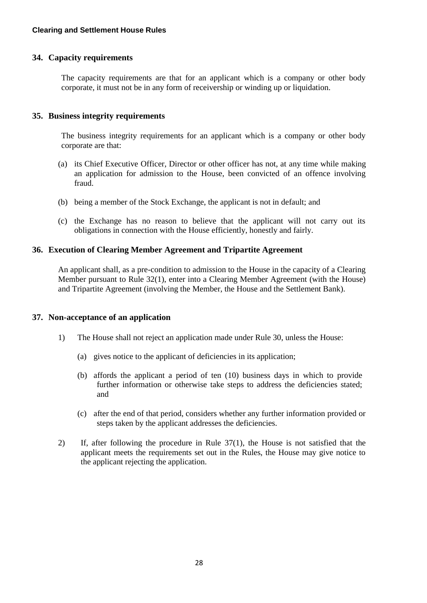# <span id="page-28-0"></span>**34. Capacity requirements**

The capacity requirements are that for an applicant which is a company or other body corporate, it must not be in any form of receivership or winding up or liquidation.

# <span id="page-28-1"></span>**35. Business integrity requirements**

The business integrity requirements for an applicant which is a company or other body corporate are that:

- (a) its Chief Executive Officer, Director or other officer has not, at any time while making an application for admission to the House, been convicted of an offence involving fraud.
- (b) being a member of the Stock Exchange, the applicant is not in default; and
- (c) the Exchange has no reason to believe that the applicant will not carry out its obligations in connection with the House efficiently, honestly and fairly.

### <span id="page-28-2"></span>**36. Execution of Clearing Member Agreement and Tripartite Agreement**

An applicant shall, as a pre-condition to admission to the House in the capacity of a Clearing Member pursuant to Rule 32(1), enter into a Clearing Member Agreement (with the House) and Tripartite Agreement (involving the Member, the House and the Settlement Bank).

# <span id="page-28-3"></span>**37. Non-acceptance of an application**

- 1) The House shall not reject an application made under Rule 30, unless the House:
	- (a) gives notice to the applicant of deficiencies in its application;
	- (b) affords the applicant a period of ten (10) business days in which to provide further information or otherwise take steps to address the deficiencies stated; and
	- (c) after the end of that period, considers whether any further information provided or steps taken by the applicant addresses the deficiencies.
- 2) If, after following the procedure in Rule 37(1), the House is not satisfied that the applicant meets the requirements set out in the Rules, the House may give notice to the applicant rejecting the application.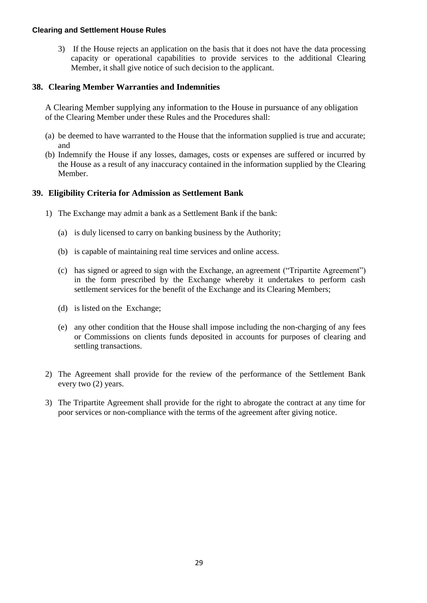3) If the House rejects an application on the basis that it does not have the data processing capacity or operational capabilities to provide services to the additional Clearing Member, it shall give notice of such decision to the applicant.

### <span id="page-29-0"></span>**38. Clearing Member Warranties and Indemnities**

A Clearing Member supplying any information to the House in pursuance of any obligation of the Clearing Member under these Rules and the Procedures shall:

- (a) be deemed to have warranted to the House that the information supplied is true and accurate; and
- (b) Indemnify the House if any losses, damages, costs or expenses are suffered or incurred by the House as a result of any inaccuracy contained in the information supplied by the Clearing Member.

### <span id="page-29-1"></span>**39. Eligibility Criteria for Admission as Settlement Bank**

- 1) The Exchange may admit a bank as a Settlement Bank if the bank:
	- (a) is duly licensed to carry on banking business by the Authority;
	- (b) is capable of maintaining real time services and online access.
	- (c) has signed or agreed to sign with the Exchange, an agreement ("Tripartite Agreement") in the form prescribed by the Exchange whereby it undertakes to perform cash settlement services for the benefit of the Exchange and its Clearing Members;
	- (d) is listed on the Exchange;
	- (e) any other condition that the House shall impose including the non-charging of any fees or Commissions on clients funds deposited in accounts for purposes of clearing and settling transactions.
- 2) The Agreement shall provide for the review of the performance of the Settlement Bank every two (2) years.
- 3) The Tripartite Agreement shall provide for the right to abrogate the contract at any time for poor services or non-compliance with the terms of the agreement after giving notice.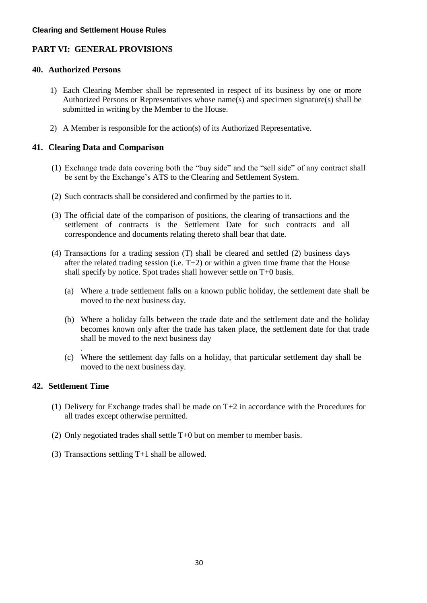# <span id="page-30-0"></span>**PART VI: GENERAL PROVISIONS**

### <span id="page-30-1"></span>**40. Authorized Persons**

- 1) Each Clearing Member shall be represented in respect of its business by one or more Authorized Persons or Representatives whose name(s) and specimen signature(s) shall be submitted in writing by the Member to the House.
- 2) A Member is responsible for the action(s) of its Authorized Representative.

# <span id="page-30-2"></span>**41. Clearing Data and Comparison**

- (1) Exchange trade data covering both the "buy side" and the "sell side" of any contract shall be sent by the Exchange's ATS to the Clearing and Settlement System.
- (2) Such contracts shall be considered and confirmed by the parties to it.
- (3) The official date of the comparison of positions, the clearing of transactions and the settlement of contracts is the Settlement Date for such contracts and all correspondence and documents relating thereto shall bear that date.
- (4) Transactions for a trading session (T) shall be cleared and settled (2) business days after the related trading session (i.e.  $T+2$ ) or within a given time frame that the House shall specify by notice. Spot trades shall however settle on T+0 basis.
	- (a) Where a trade settlement falls on a known public holiday, the settlement date shall be moved to the next business day.
	- (b) Where a holiday falls between the trade date and the settlement date and the holiday becomes known only after the trade has taken place, the settlement date for that trade shall be moved to the next business day
	- (c) Where the settlement day falls on a holiday, that particular settlement day shall be moved to the next business day.

# <span id="page-30-3"></span>**42. Settlement Time**

.

- (1) Delivery for Exchange trades shall be made on T+2 in accordance with the Procedures for all trades except otherwise permitted.
- (2) Only negotiated trades shall settle T+0 but on member to member basis.
- (3) Transactions settling T+1 shall be allowed.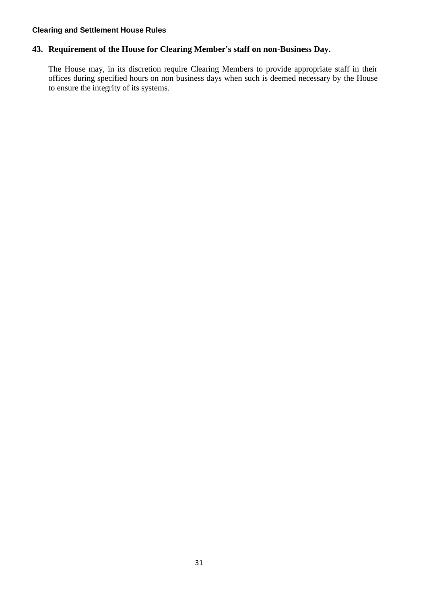# <span id="page-31-0"></span>**43. Requirement of the House for Clearing Member's staff on non-Business Day.**

The House may, in its discretion require Clearing Members to provide appropriate staff in their offices during specified hours on non business days when such is deemed necessary by the House to ensure the integrity of its systems.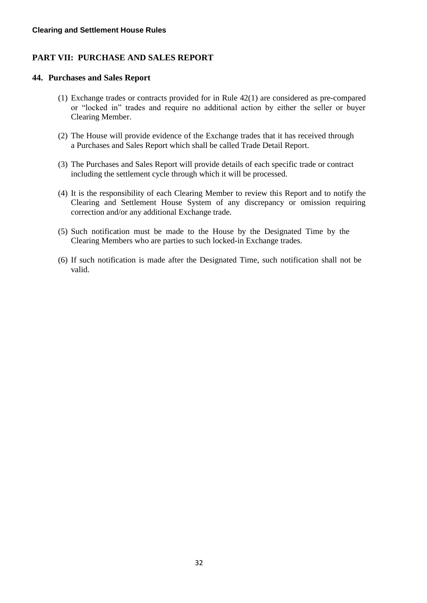# <span id="page-32-0"></span>**PART VII: PURCHASE AND SALES REPORT**

#### <span id="page-32-1"></span>**44. Purchases and Sales Report**

- (1) Exchange trades or contracts provided for in Rule 42(1) are considered as pre-compared or "locked in" trades and require no additional action by either the seller or buyer Clearing Member.
- (2) The House will provide evidence of the Exchange trades that it has received through a Purchases and Sales Report which shall be called Trade Detail Report.
- (3) The Purchases and Sales Report will provide details of each specific trade or contract including the settlement cycle through which it will be processed.
- (4) It is the responsibility of each Clearing Member to review this Report and to notify the Clearing and Settlement House System of any discrepancy or omission requiring correction and/or any additional Exchange trade.
- (5) Such notification must be made to the House by the Designated Time by the Clearing Members who are parties to such locked-in Exchange trades.
- (6) If such notification is made after the Designated Time, such notification shall not be valid.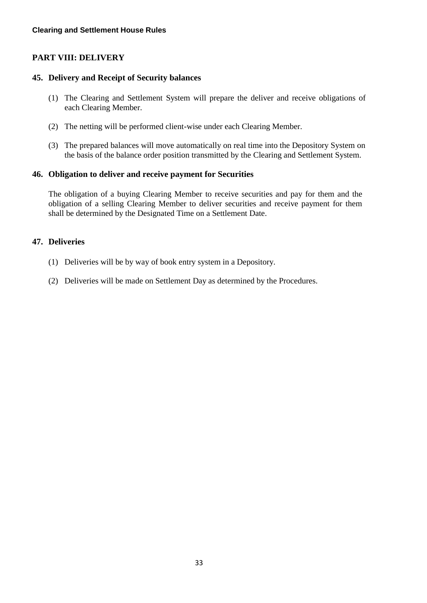# <span id="page-33-0"></span>**PART VIII: DELIVERY**

# <span id="page-33-1"></span>**45. Delivery and Receipt of Security balances**

- (1) The Clearing and Settlement System will prepare the deliver and receive obligations of each Clearing Member.
- (2) The netting will be performed client-wise under each Clearing Member.
- (3) The prepared balances will move automatically on real time into the Depository System on the basis of the balance order position transmitted by the Clearing and Settlement System.

# <span id="page-33-2"></span>**46. Obligation to deliver and receive payment for Securities**

The obligation of a buying Clearing Member to receive securities and pay for them and the obligation of a selling Clearing Member to deliver securities and receive payment for them shall be determined by the Designated Time on a Settlement Date.

### <span id="page-33-3"></span>**47. Deliveries**

- (1) Deliveries will be by way of book entry system in a Depository.
- (2) Deliveries will be made on Settlement Day as determined by the Procedures.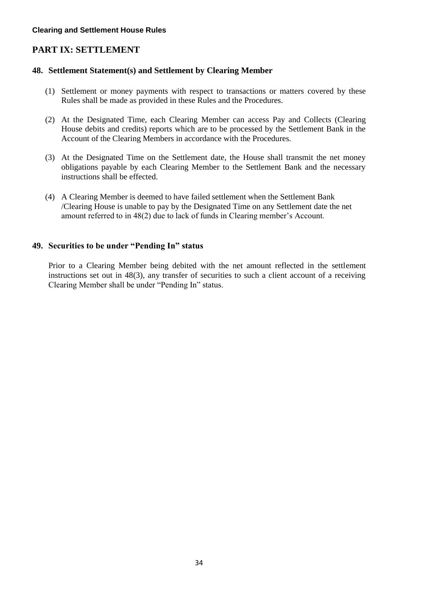# <span id="page-34-0"></span>**PART IX: SETTLEMENT**

# <span id="page-34-1"></span>**48. Settlement Statement(s) and Settlement by Clearing Member**

- (1) Settlement or money payments with respect to transactions or matters covered by these Rules shall be made as provided in these Rules and the Procedures.
- (2) At the Designated Time, each Clearing Member can access Pay and Collects (Clearing House debits and credits) reports which are to be processed by the Settlement Bank in the Account of the Clearing Members in accordance with the Procedures.
- (3) At the Designated Time on the Settlement date, the House shall transmit the net money obligations payable by each Clearing Member to the Settlement Bank and the necessary instructions shall be effected.
- (4) A Clearing Member is deemed to have failed settlement when the Settlement Bank /Clearing House is unable to pay by the Designated Time on any Settlement date the net amount referred to in 48(2) due to lack of funds in Clearing member's Account.

# <span id="page-34-2"></span>**49. Securities to be under "Pending In" status**

Prior to a Clearing Member being debited with the net amount reflected in the settlement instructions set out in 48(3), any transfer of securities to such a client account of a receiving Clearing Member shall be under "Pending In" status.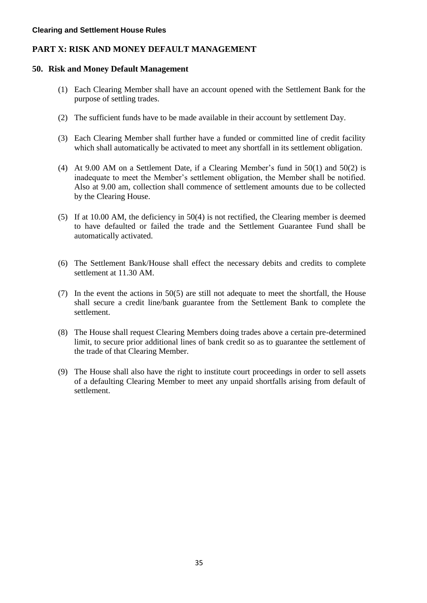# <span id="page-35-0"></span>**PART X: RISK AND MONEY DEFAULT MANAGEMENT**

### <span id="page-35-1"></span>**50. Risk and Money Default Management**

- (1) Each Clearing Member shall have an account opened with the Settlement Bank for the purpose of settling trades.
- (2) The sufficient funds have to be made available in their account by settlement Day.
- (3) Each Clearing Member shall further have a funded or committed line of credit facility which shall automatically be activated to meet any shortfall in its settlement obligation.
- (4) At 9.00 AM on a Settlement Date, if a Clearing Member's fund in 50(1) and 50(2) is inadequate to meet the Member's settlement obligation, the Member shall be notified. Also at 9.00 am, collection shall commence of settlement amounts due to be collected by the Clearing House.
- (5) If at 10.00 AM, the deficiency in 50(4) is not rectified, the Clearing member is deemed to have defaulted or failed the trade and the Settlement Guarantee Fund shall be automatically activated.
- (6) The Settlement Bank/House shall effect the necessary debits and credits to complete settlement at 11.30 AM.
- (7) In the event the actions in 50(5) are still not adequate to meet the shortfall, the House shall secure a credit line/bank guarantee from the Settlement Bank to complete the settlement.
- (8) The House shall request Clearing Members doing trades above a certain pre-determined limit, to secure prior additional lines of bank credit so as to guarantee the settlement of the trade of that Clearing Member.
- (9) The House shall also have the right to institute court proceedings in order to sell assets of a defaulting Clearing Member to meet any unpaid shortfalls arising from default of settlement.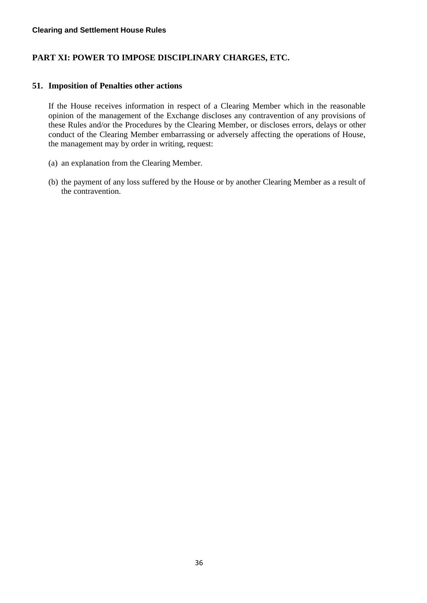# <span id="page-36-0"></span>**PART XI: POWER TO IMPOSE DISCIPLINARY CHARGES, ETC.**

### <span id="page-36-1"></span>**51. Imposition of Penalties other actions**

If the House receives information in respect of a Clearing Member which in the reasonable opinion of the management of the Exchange discloses any contravention of any provisions of these Rules and/or the Procedures by the Clearing Member, or discloses errors, delays or other conduct of the Clearing Member embarrassing or adversely affecting the operations of House, the management may by order in writing, request:

- (a) an explanation from the Clearing Member.
- (b) the payment of any loss suffered by the House or by another Clearing Member as a result of the contravention.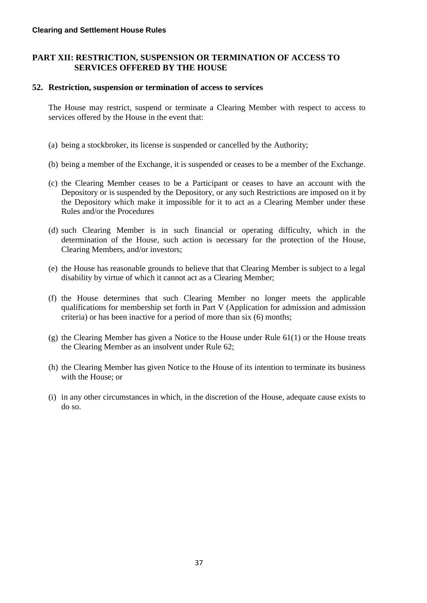# <span id="page-37-0"></span>**PART XII: RESTRICTION, SUSPENSION OR TERMINATION OF ACCESS TO SERVICES OFFERED BY THE HOUSE**

# <span id="page-37-1"></span>**52. Restriction, suspension or termination of access to services**

The House may restrict, suspend or terminate a Clearing Member with respect to access to services offered by the House in the event that:

- (a) being a stockbroker, its license is suspended or cancelled by the Authority;
- (b) being a member of the Exchange, it is suspended or ceases to be a member of the Exchange.
- (c) the Clearing Member ceases to be a Participant or ceases to have an account with the Depository or is suspended by the Depository, or any such Restrictions are imposed on it by the Depository which make it impossible for it to act as a Clearing Member under these Rules and/or the Procedures
- (d) such Clearing Member is in such financial or operating difficulty, which in the determination of the House, such action is necessary for the protection of the House, Clearing Members, and/or investors;
- (e) the House has reasonable grounds to believe that that Clearing Member is subject to a legal disability by virtue of which it cannot act as a Clearing Member;
- (f) the House determines that such Clearing Member no longer meets the applicable qualifications for membership set forth in Part V (Application for admission and admission criteria) or has been inactive for a period of more than six (6) months;
- (g) the Clearing Member has given a Notice to the House under Rule 61(1) or the House treats the Clearing Member as an insolvent under Rule 62;
- (h) the Clearing Member has given Notice to the House of its intention to terminate its business with the House; or
- (i) in any other circumstances in which, in the discretion of the House, adequate cause exists to do so.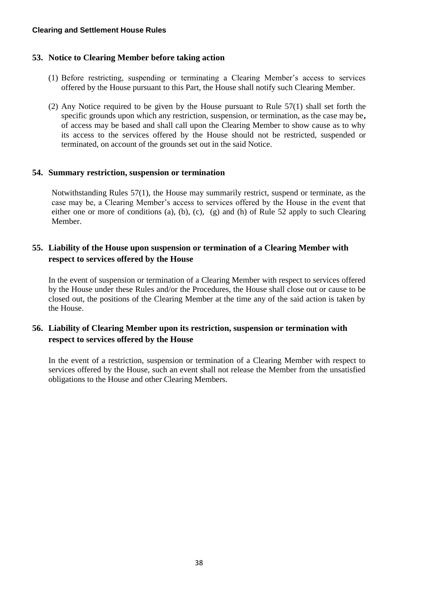# <span id="page-38-0"></span>**53. Notice to Clearing Member before taking action**

- (1) Before restricting, suspending or terminating a Clearing Member's access to services offered by the House pursuant to this Part, the House shall notify such Clearing Member.
- (2) Any Notice required to be given by the House pursuant to Rule  $57(1)$  shall set forth the specific grounds upon which any restriction, suspension, or termination, as the case may be**,**  of access may be based and shall call upon the Clearing Member to show cause as to why its access to the services offered by the House should not be restricted, suspended or terminated, on account of the grounds set out in the said Notice.

# <span id="page-38-1"></span>**54. Summary restriction, suspension or termination**

Notwithstanding Rules 57(1), the House may summarily restrict, suspend or terminate, as the case may be, a Clearing Member's access to services offered by the House in the event that either one or more of conditions (a), (b), (c), (g) and (h) of Rule 52 apply to such Clearing Member.

# <span id="page-38-2"></span>**55. Liability of the House upon suspension or termination of a Clearing Member with respect to services offered by the House**

In the event of suspension or termination of a Clearing Member with respect to services offered by the House under these Rules and/or the Procedures, the House shall close out or cause to be closed out, the positions of the Clearing Member at the time any of the said action is taken by the House.

# <span id="page-38-3"></span>**56. Liability of Clearing Member upon its restriction, suspension or termination with respect to services offered by the House**

In the event of a restriction, suspension or termination of a Clearing Member with respect to services offered by the House, such an event shall not release the Member from the unsatisfied obligations to the House and other Clearing Members.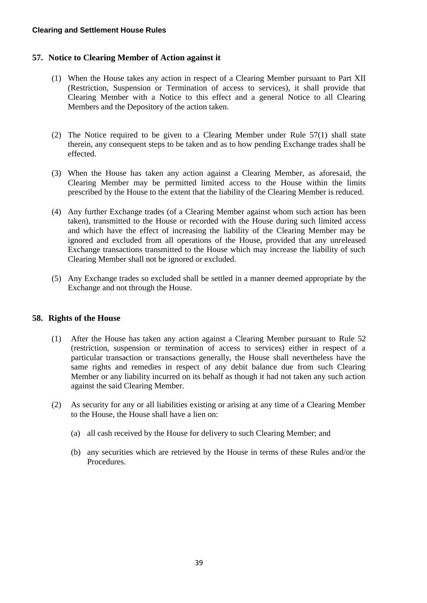# <span id="page-39-0"></span>**57. Notice to Clearing Member of Action against it**

- (1) When the House takes any action in respect of a Clearing Member pursuant to Part XII (Restriction, Suspension or Termination of access to services), it shall provide that Clearing Member with a Notice to this effect and a general Notice to all Clearing Members and the Depository of the action taken.
- (2) The Notice required to be given to a Clearing Member under Rule 57(1) shall state therein, any consequent steps to be taken and as to how pending Exchange trades shall be effected.
- (3) When the House has taken any action against a Clearing Member, as aforesaid, the Clearing Member may be permitted limited access to the House within the limits prescribed by the House to the extent that the liability of the Clearing Member is reduced.
- (4) Any further Exchange trades (of a Clearing Member against whom such action has been taken), transmitted to the House or recorded with the House during such limited access and which have the effect of increasing the liability of the Clearing Member may be ignored and excluded from all operations of the House, provided that any unreleased Exchange transactions transmitted to the House which may increase the liability of such Clearing Member shall not be ignored or excluded.
- (5) Any Exchange trades so excluded shall be settled in a manner deemed appropriate by the Exchange and not through the House.

# <span id="page-39-1"></span>**58. Rights of the House**

- (1) After the House has taken any action against a Clearing Member pursuant to Rule 52 (restriction, suspension or termination of access to services) either in respect of a particular transaction or transactions generally, the House shall nevertheless have the same rights and remedies in respect of any debit balance due from such Clearing Member or any liability incurred on its behalf as though it had not taken any such action against the said Clearing Member.
- (2) As security for any or all liabilities existing or arising at any time of a Clearing Member to the House, the House shall have a lien on:
	- (a) all cash received by the House for delivery to such Clearing Member; and
	- (b) any securities which are retrieved by the House in terms of these Rules and/or the Procedures.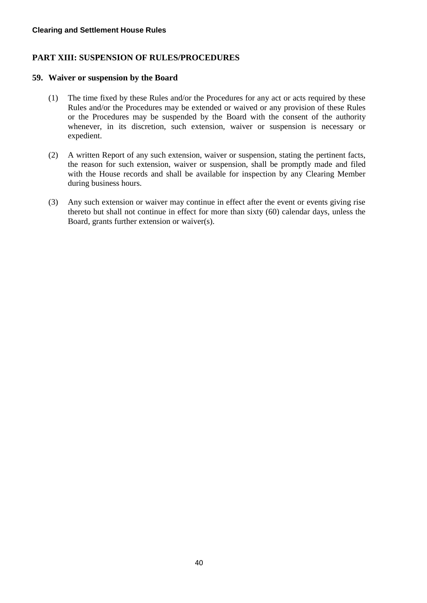# <span id="page-40-0"></span>**PART XIII: SUSPENSION OF RULES/PROCEDURES**

### <span id="page-40-1"></span>**59. Waiver or suspension by the Board**

- (1) The time fixed by these Rules and/or the Procedures for any act or acts required by these Rules and/or the Procedures may be extended or waived or any provision of these Rules or the Procedures may be suspended by the Board with the consent of the authority whenever, in its discretion, such extension, waiver or suspension is necessary or expedient.
- (2) A written Report of any such extension, waiver or suspension, stating the pertinent facts, the reason for such extension, waiver or suspension, shall be promptly made and filed with the House records and shall be available for inspection by any Clearing Member during business hours.
- (3) Any such extension or waiver may continue in effect after the event or events giving rise thereto but shall not continue in effect for more than sixty (60) calendar days, unless the Board, grants further extension or waiver(s).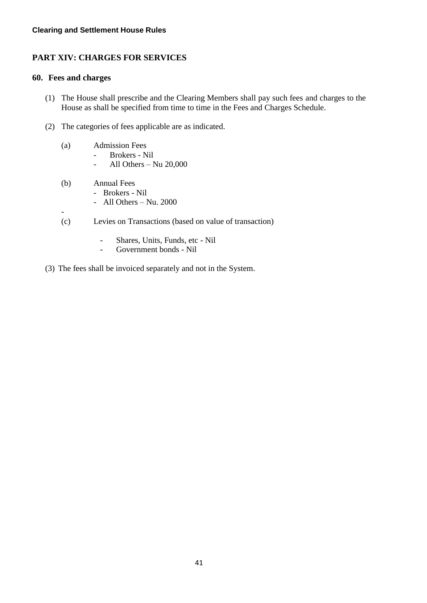# <span id="page-41-0"></span>**PART XIV: CHARGES FOR SERVICES**

# <span id="page-41-1"></span>**60. Fees and charges**

-

- (1) The House shall prescribe and the Clearing Members shall pay such fees and charges to the House as shall be specified from time to time in the Fees and Charges Schedule.
- (2) The categories of fees applicable are as indicated.
	- (a) Admission Fees
		- Brokers Nil
			- All Others Nu 20,000
	- (b) Annual Fees
		- Brokers Nil
			- All Others Nu. 2000
	- (c) Levies on Transactions (based on value of transaction)
		- Shares, Units, Funds, etc Nil
		- Government bonds Nil
- (3) The fees shall be invoiced separately and not in the System.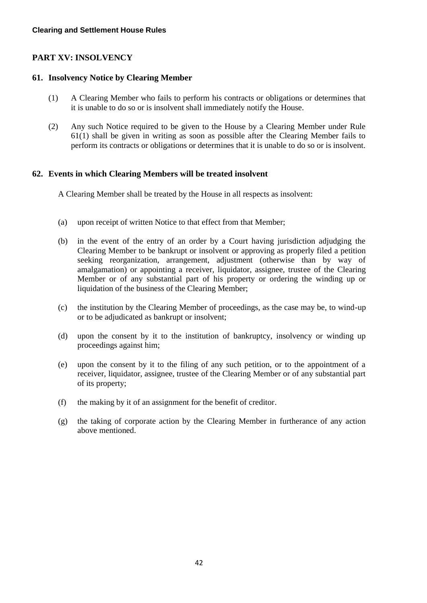# <span id="page-42-0"></span>**PART XV: INSOLVENCY**

# <span id="page-42-1"></span>**61. Insolvency Notice by Clearing Member**

- (1) A Clearing Member who fails to perform his contracts or obligations or determines that it is unable to do so or is insolvent shall immediately notify the House.
- (2) Any such Notice required to be given to the House by a Clearing Member under Rule 61(1) shall be given in writing as soon as possible after the Clearing Member fails to perform its contracts or obligations or determines that it is unable to do so or is insolvent.

# <span id="page-42-2"></span>**62. Events in which Clearing Members will be treated insolvent**

A Clearing Member shall be treated by the House in all respects as insolvent:

- (a) upon receipt of written Notice to that effect from that Member;
- (b) in the event of the entry of an order by a Court having jurisdiction adjudging the Clearing Member to be bankrupt or insolvent or approving as properly filed a petition seeking reorganization, arrangement, adjustment (otherwise than by way of amalgamation) or appointing a receiver, liquidator, assignee, trustee of the Clearing Member or of any substantial part of his property or ordering the winding up or liquidation of the business of the Clearing Member;
- (c) the institution by the Clearing Member of proceedings, as the case may be, to wind-up or to be adjudicated as bankrupt or insolvent;
- (d) upon the consent by it to the institution of bankruptcy, insolvency or winding up proceedings against him;
- (e) upon the consent by it to the filing of any such petition, or to the appointment of a receiver, liquidator, assignee, trustee of the Clearing Member or of any substantial part of its property;
- (f) the making by it of an assignment for the benefit of creditor.
- (g) the taking of corporate action by the Clearing Member in furtherance of any action above mentioned.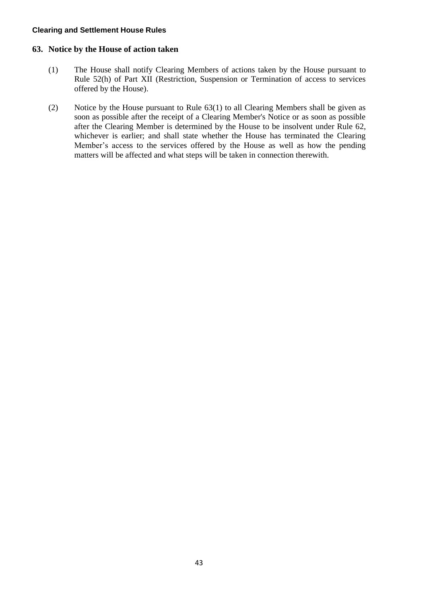### <span id="page-43-0"></span>**63. Notice by the House of action taken**

- (1) The House shall notify Clearing Members of actions taken by the House pursuant to Rule 52(h) of Part XII (Restriction, Suspension or Termination of access to services offered by the House).
- (2) Notice by the House pursuant to Rule 63(1) to all Clearing Members shall be given as soon as possible after the receipt of a Clearing Member's Notice or as soon as possible after the Clearing Member is determined by the House to be insolvent under Rule 62, whichever is earlier; and shall state whether the House has terminated the Clearing Member's access to the services offered by the House as well as how the pending matters will be affected and what steps will be taken in connection therewith.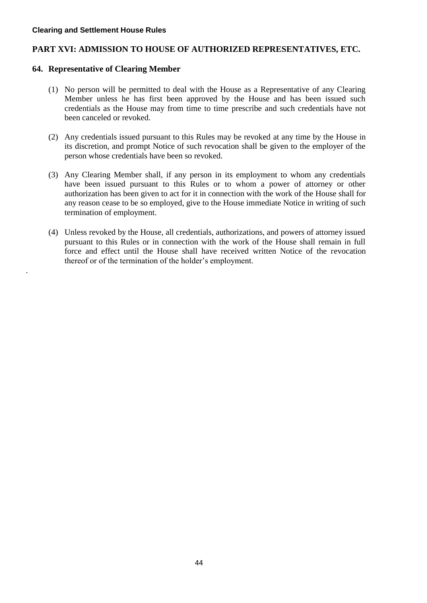.

# <span id="page-44-0"></span>**PART XVI: ADMISSION TO HOUSE OF AUTHORIZED REPRESENTATIVES, ETC.**

# <span id="page-44-1"></span>**64. Representative of Clearing Member**

- (1) No person will be permitted to deal with the House as a Representative of any Clearing Member unless he has first been approved by the House and has been issued such credentials as the House may from time to time prescribe and such credentials have not been canceled or revoked.
- (2) Any credentials issued pursuant to this Rules may be revoked at any time by the House in its discretion, and prompt Notice of such revocation shall be given to the employer of the person whose credentials have been so revoked.
- (3) Any Clearing Member shall, if any person in its employment to whom any credentials have been issued pursuant to this Rules or to whom a power of attorney or other authorization has been given to act for it in connection with the work of the House shall for any reason cease to be so employed, give to the House immediate Notice in writing of such termination of employment.
- (4) Unless revoked by the House, all credentials, authorizations, and powers of attorney issued pursuant to this Rules or in connection with the work of the House shall remain in full force and effect until the House shall have received written Notice of the revocation thereof or of the termination of the holder's employment.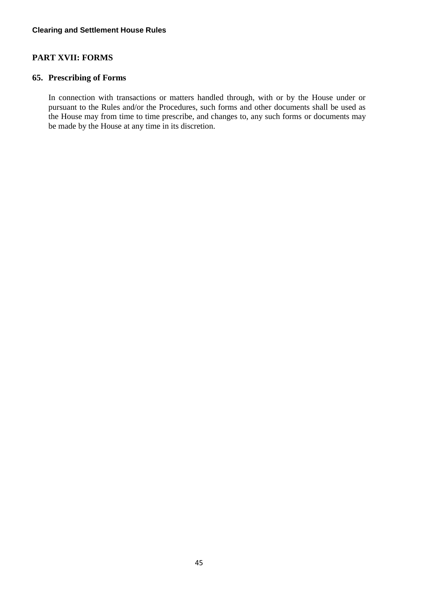# <span id="page-45-0"></span>**PART XVII: FORMS**

# <span id="page-45-1"></span>**65. Prescribing of Forms**

In connection with transactions or matters handled through, with or by the House under or pursuant to the Rules and/or the Procedures, such forms and other documents shall be used as the House may from time to time prescribe, and changes to, any such forms or documents may be made by the House at any time in its discretion.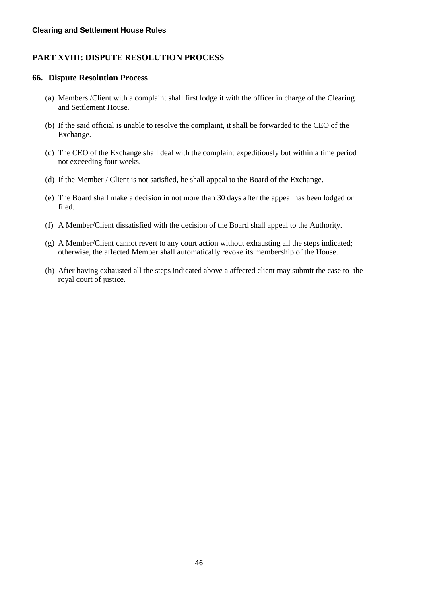# <span id="page-46-0"></span>**PART XVIII: DISPUTE RESOLUTION PROCESS**

#### <span id="page-46-1"></span>**66. Dispute Resolution Process**

- (a) Members /Client with a complaint shall first lodge it with the officer in charge of the Clearing and Settlement House.
- (b) If the said official is unable to resolve the complaint, it shall be forwarded to the CEO of the Exchange.
- (c) The CEO of the Exchange shall deal with the complaint expeditiously but within a time period not exceeding four weeks.
- (d) If the Member / Client is not satisfied, he shall appeal to the Board of the Exchange.
- (e) The Board shall make a decision in not more than 30 days after the appeal has been lodged or filed.
- (f) A Member/Client dissatisfied with the decision of the Board shall appeal to the Authority.
- (g) A Member/Client cannot revert to any court action without exhausting all the steps indicated; otherwise, the affected Member shall automatically revoke its membership of the House.
- (h) After having exhausted all the steps indicated above a affected client may submit the case to the royal court of justice.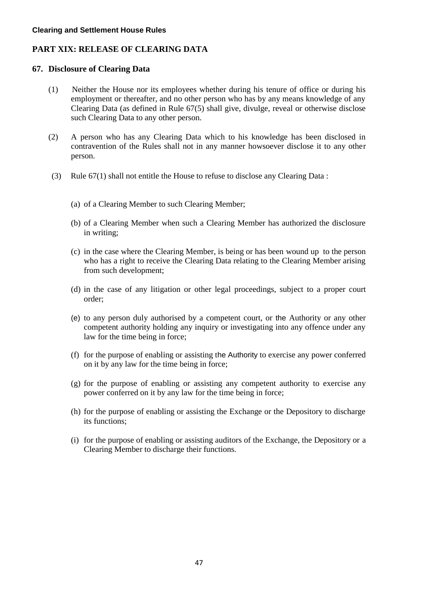# <span id="page-47-0"></span>**PART XIX: RELEASE OF CLEARING DATA**

### <span id="page-47-1"></span>**67. Disclosure of Clearing Data**

- (1) Neither the House nor its employees whether during his tenure of office or during his employment or thereafter, and no other person who has by any means knowledge of any Clearing Data (as defined in Rule 67(5) shall give, divulge, reveal or otherwise disclose such Clearing Data to any other person.
- (2) A person who has any Clearing Data which to his knowledge has been disclosed in contravention of the Rules shall not in any manner howsoever disclose it to any other person.
- (3) Rule 67(1) shall not entitle the House to refuse to disclose any Clearing Data :
	- (a) of a Clearing Member to such Clearing Member;
	- (b) of a Clearing Member when such a Clearing Member has authorized the disclosure in writing;
	- (c) in the case where the Clearing Member, is being or has been wound up to the person who has a right to receive the Clearing Data relating to the Clearing Member arising from such development;
	- (d) in the case of any litigation or other legal proceedings, subject to a proper court order;
	- (e) to any person duly authorised by a competent court, or the Authority or any other competent authority holding any inquiry or investigating into any offence under any law for the time being in force;
	- (f) for the purpose of enabling or assisting the Authority to exercise any power conferred on it by any law for the time being in force;
	- (g) for the purpose of enabling or assisting any competent authority to exercise any power conferred on it by any law for the time being in force;
	- (h) for the purpose of enabling or assisting the Exchange or the Depository to discharge its functions;
	- (i) for the purpose of enabling or assisting auditors of the Exchange, the Depository or a Clearing Member to discharge their functions.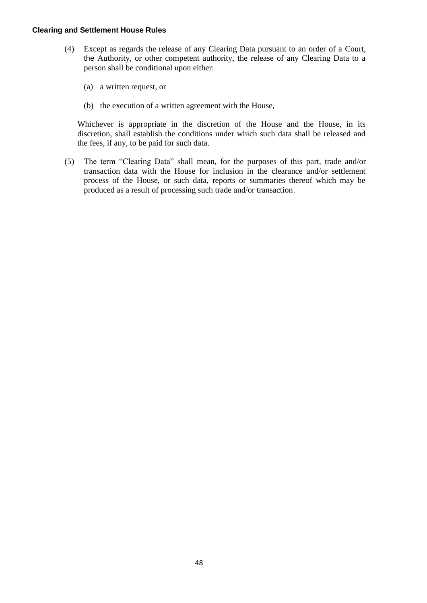- (4) Except as regards the release of any Clearing Data pursuant to an order of a Court, the Authority, or other competent authority, the release of any Clearing Data to a person shall be conditional upon either:
	- (a) a written request, or
	- (b) the execution of a written agreement with the House,

Whichever is appropriate in the discretion of the House and the House, in its discretion, shall establish the conditions under which such data shall be released and the fees, if any, to be paid for such data.

(5) The term "Clearing Data" shall mean, for the purposes of this part, trade and/or transaction data with the House for inclusion in the clearance and/or settlement process of the House, or such data, reports or summaries thereof which may be produced as a result of processing such trade and/or transaction.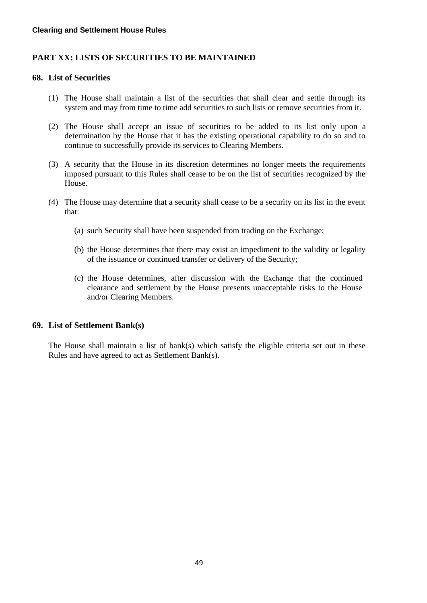# <span id="page-49-0"></span>**PART XX: LISTS OF SECURITIES TO BE MAINTAINED**

### <span id="page-49-1"></span>**68. List of Securities**

- (1) The House shall maintain a list of the securities that shall clear and settle through its system and may from time to time add securities to such lists or remove securities from it.
- (2) The House shall accept an issue of securities to be added to its list only upon a determination by the House that it has the existing operational capability to do so and to continue to successfully provide its services to Clearing Members.
- (3) A security that the House in its discretion determines no longer meets the requirements imposed pursuant to this Rules shall cease to be on the list of securities recognized by the House.
- (4) The House may determine that a security shall cease to be a security on its list in the event that:
	- (a) such Security shall have been suspended from trading on the Exchange;
	- (b) the House determines that there may exist an impediment to the validity or legality of the issuance or continued transfer or delivery of the Security;
	- (c) the House determines, after discussion with the Exchange that the continued clearance and settlement by the House presents unacceptable risks to the House and/or Clearing Members.

# <span id="page-49-2"></span>**69. List of Settlement Bank(s)**

The House shall maintain a list of bank(s) which satisfy the eligible criteria set out in these Rules and have agreed to act as Settlement Bank(s).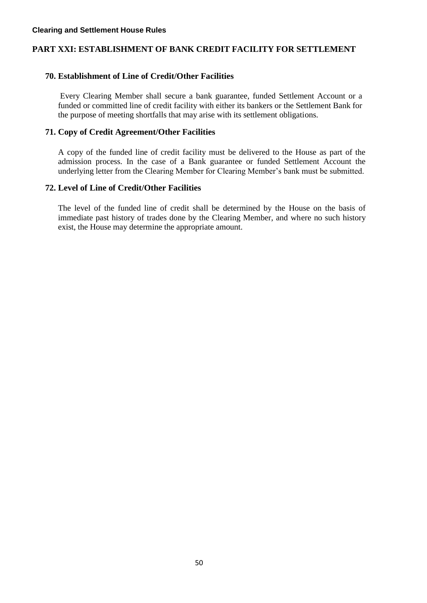# <span id="page-50-0"></span>**PART XXI: ESTABLISHMENT OF BANK CREDIT FACILITY FOR SETTLEMENT**

# <span id="page-50-1"></span>**70. Establishment of Line of Credit/Other Facilities**

Every Clearing Member shall secure a bank guarantee, funded Settlement Account or a funded or committed line of credit facility with either its bankers or the Settlement Bank for the purpose of meeting shortfalls that may arise with its settlement obligations.

# <span id="page-50-2"></span>**71. Copy of Credit Agreement/Other Facilities**

A copy of the funded line of credit facility must be delivered to the House as part of the admission process. In the case of a Bank guarantee or funded Settlement Account the underlying letter from the Clearing Member for Clearing Member's bank must be submitted.

# <span id="page-50-3"></span>**72. Level of Line of Credit/Other Facilities**

The level of the funded line of credit shall be determined by the House on the basis of immediate past history of trades done by the Clearing Member, and where no such history exist, the House may determine the appropriate amount.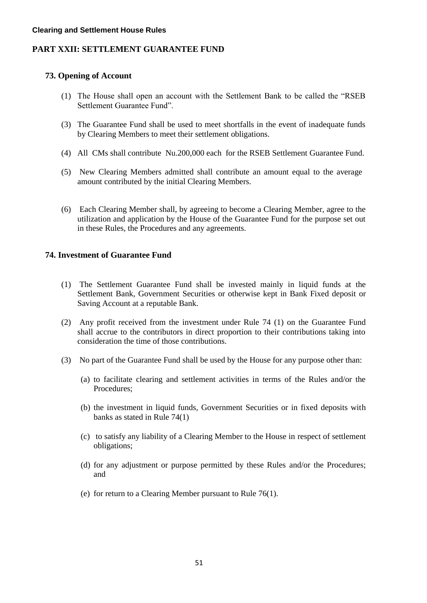# <span id="page-51-0"></span>**PART XXII: SETTLEMENT GUARANTEE FUND**

# <span id="page-51-1"></span>**73. Opening of Account**

- (1) The House shall open an account with the Settlement Bank to be called the "RSEB Settlement Guarantee Fund".
- (3) The Guarantee Fund shall be used to meet shortfalls in the event of inadequate funds by Clearing Members to meet their settlement obligations.
- (4) All CMs shall contribute Nu.200,000 each for the RSEB Settlement Guarantee Fund.
- (5) New Clearing Members admitted shall contribute an amount equal to the average amount contributed by the initial Clearing Members.
- (6) Each Clearing Member shall, by agreeing to become a Clearing Member, agree to the utilization and application by the House of the Guarantee Fund for the purpose set out in these Rules, the Procedures and any agreements.

# <span id="page-51-2"></span>**74. Investment of Guarantee Fund**

- (1) The Settlement Guarantee Fund shall be invested mainly in liquid funds at the Settlement Bank, Government Securities or otherwise kept in Bank Fixed deposit or Saving Account at a reputable Bank.
- (2) Any profit received from the investment under Rule 74 (1) on the Guarantee Fund shall accrue to the contributors in direct proportion to their contributions taking into consideration the time of those contributions.
- (3) No part of the Guarantee Fund shall be used by the House for any purpose other than:
	- (a) to facilitate clearing and settlement activities in terms of the Rules and/or the Procedures;
	- (b) the investment in liquid funds, Government Securities or in fixed deposits with banks as stated in Rule 74(1)
	- (c) to satisfy any liability of a Clearing Member to the House in respect of settlement obligations;
	- (d) for any adjustment or purpose permitted by these Rules and/or the Procedures; and
	- (e) for return to a Clearing Member pursuant to Rule 76(1).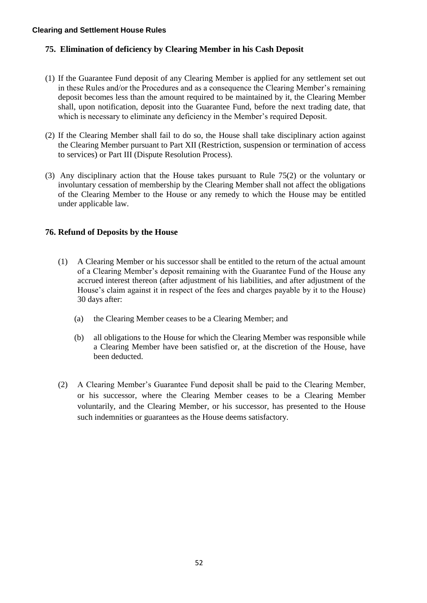# <span id="page-52-0"></span>**75. Elimination of deficiency by Clearing Member in his Cash Deposit**

- (1) If the Guarantee Fund deposit of any Clearing Member is applied for any settlement set out in these Rules and/or the Procedures and as a consequence the Clearing Member's remaining deposit becomes less than the amount required to be maintained by it, the Clearing Member shall, upon notification, deposit into the Guarantee Fund, before the next trading date, that which is necessary to eliminate any deficiency in the Member's required Deposit.
- (2) If the Clearing Member shall fail to do so, the House shall take disciplinary action against the Clearing Member pursuant to Part XII (Restriction, suspension or termination of access to services) or Part III (Dispute Resolution Process).
- (3) Any disciplinary action that the House takes pursuant to Rule 75(2) or the voluntary or involuntary cessation of membership by the Clearing Member shall not affect the obligations of the Clearing Member to the House or any remedy to which the House may be entitled under applicable law.

# <span id="page-52-1"></span>**76. Refund of Deposits by the House**

- (1) A Clearing Member or his successor shall be entitled to the return of the actual amount of a Clearing Member's deposit remaining with the Guarantee Fund of the House any accrued interest thereon (after adjustment of his liabilities, and after adjustment of the House's claim against it in respect of the fees and charges payable by it to the House) 30 days after:
	- (a) the Clearing Member ceases to be a Clearing Member; and
	- (b) all obligations to the House for which the Clearing Member was responsible while a Clearing Member have been satisfied or, at the discretion of the House, have been deducted.
- (2) A Clearing Member's Guarantee Fund deposit shall be paid to the Clearing Member, or his successor, where the Clearing Member ceases to be a Clearing Member voluntarily, and the Clearing Member, or his successor, has presented to the House such indemnities or guarantees as the House deems satisfactory.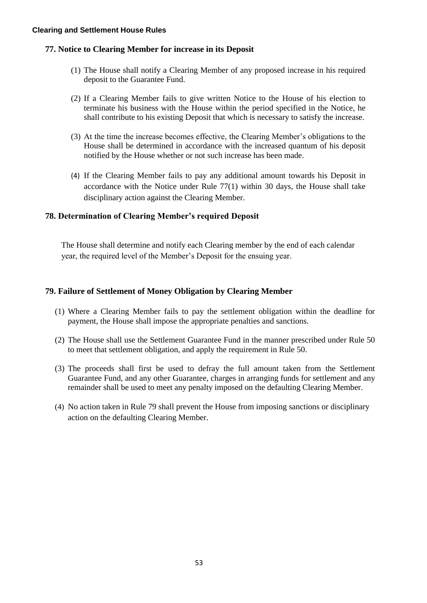# <span id="page-53-0"></span>**77. Notice to Clearing Member for increase in its Deposit**

- (1) The House shall notify a Clearing Member of any proposed increase in his required deposit to the Guarantee Fund.
- (2) If a Clearing Member fails to give written Notice to the House of his election to terminate his business with the House within the period specified in the Notice, he shall contribute to his existing Deposit that which is necessary to satisfy the increase.
- (3) At the time the increase becomes effective, the Clearing Member's obligations to the House shall be determined in accordance with the increased quantum of his deposit notified by the House whether or not such increase has been made.
- (4) If the Clearing Member fails to pay any additional amount towards his Deposit in accordance with the Notice under Rule 77(1) within 30 days, the House shall take disciplinary action against the Clearing Member.

# <span id="page-53-1"></span>**78. Determination of Clearing Member's required Deposit**

The House shall determine and notify each Clearing member by the end of each calendar year, the required level of the Member's Deposit for the ensuing year.

# <span id="page-53-2"></span>**79. Failure of Settlement of Money Obligation by Clearing Member**

- (1) Where a Clearing Member fails to pay the settlement obligation within the deadline for payment, the House shall impose the appropriate penalties and sanctions.
- (2) The House shall use the Settlement Guarantee Fund in the manner prescribed under Rule 50 to meet that settlement obligation, and apply the requirement in Rule 50.
- (3) The proceeds shall first be used to defray the full amount taken from the Settlement Guarantee Fund, and any other Guarantee, charges in arranging funds for settlement and any remainder shall be used to meet any penalty imposed on the defaulting Clearing Member.
- (4) No action taken in Rule 79 shall prevent the House from imposing sanctions or disciplinary action on the defaulting Clearing Member.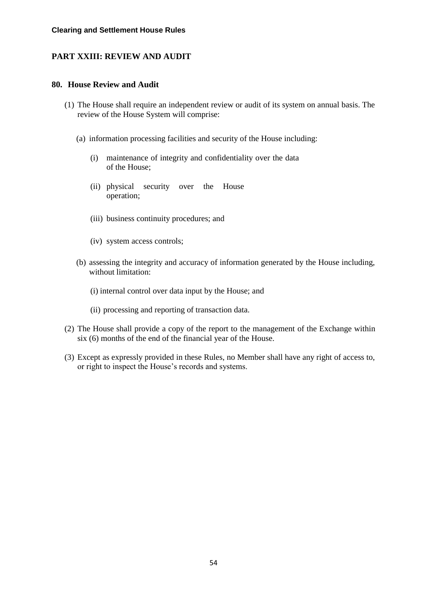# <span id="page-54-0"></span>**PART XXIII: REVIEW AND AUDIT**

### <span id="page-54-1"></span>**80. House Review and Audit**

- (1) The House shall require an independent review or audit of its system on annual basis. The review of the House System will comprise:
	- (a) information processing facilities and security of the House including:
		- (i) maintenance of integrity and confidentiality over the data of the House;
		- (ii) physical security over the House operation;
		- (iii) business continuity procedures; and
		- (iv) system access controls;
	- (b) assessing the integrity and accuracy of information generated by the House including, without limitation:
		- (i) internal control over data input by the House; and
		- (ii) processing and reporting of transaction data.
- (2) The House shall provide a copy of the report to the management of the Exchange within six (6) months of the end of the financial year of the House.
- (3) Except as expressly provided in these Rules, no Member shall have any right of access to, or right to inspect the House's records and systems.